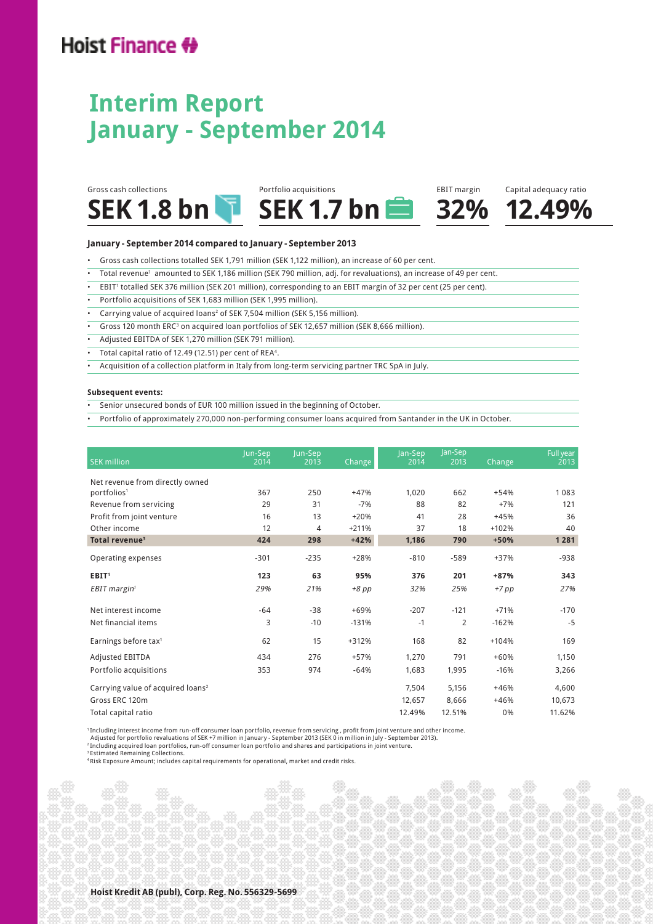## Hoist Finance #

## **Interim Report January - September 2014**



#### **January - September 2014 compared to January - September 2013**

- Gross cash collections totalled SEK 1,791 million (SEK 1,122 million), an increase of 60 per cent.
- • Total revenue<sup>1</sup> amounted to SEK 1,186 million (SEK 790 million, adj. for revaluations), an increase of 49 per cent.
- • EBIT<sup>1</sup> totalled SEK 376 million (SEK 201 million), corresponding to an EBIT margin of 32 per cent (25 per cent).
- Portfolio acquisitions of SEK 1,683 million (SEK 1,995 million).
- Carrying value of acquired loans<sup>2</sup> of SEK 7,504 million (SEK 5,156 million).
- $\bullet$  Gross 120 month ERC<sup>3</sup> on acquired loan portfolios of SEK 12,657 million (SEK 8,666 million).
- Adjusted EBITDA of SEK 1,270 million (SEK 791 million).
- Total capital ratio of 12.49 (12.51) per cent of REA<sup>4</sup>.
- Acquisition of a collection platform in Italy from long-term servicing partner TRC SpA in July.

#### **Subsequent events:**

- Senior unsecured bonds of EUR 100 million issued in the beginning of October.
- Portfolio of approximately 270,000 non-performing consumer loans acquired from Santander in the UK in October.

| <b>SEK million</b>                                         | Jun-Sep<br>2014 | Jun-Sep<br>2013 | <b>Change</b> | Jan-Sep<br>2014 | Jan-Sep<br>2013 | Change  | Full year<br>2013 |
|------------------------------------------------------------|-----------------|-----------------|---------------|-----------------|-----------------|---------|-------------------|
|                                                            |                 |                 |               |                 |                 |         |                   |
| Net revenue from directly owned<br>portfolios <sup>1</sup> | 367             | 250             | $+47%$        | 1,020           | 662             | $+54%$  | 1083              |
| Revenue from servicing                                     | 29              | 31              | $-7%$         | 88              | 82              | $+7%$   | 121               |
|                                                            | 16              |                 |               |                 |                 |         | 36                |
| Profit from joint venture                                  |                 | 13              | $+20%$        | 41              | 28              | $+45%$  |                   |
| Other income                                               | 12              | 4               | $+211%$       | 37              | 18              | $+102%$ | 40                |
| Total revenue <sup>3</sup>                                 | 424             | 298             | $+42%$        | 1,186           | 790             | $+50%$  | 1281              |
| Operating expenses                                         | $-301$          | $-235$          | $+28%$        | $-810$          | $-589$          | $+37%$  | $-938$            |
| EBIT <sup>1</sup>                                          | 123             | 63              | 95%           | 376             | 201             | +87%    | 343               |
| EBIT margin <sup>1</sup>                                   | 29%             | 21%             | $+8$ pp       | 32%             | 25%             | $+7$ pp | 27%               |
| Net interest income                                        | $-64$           | $-38$           | $+69%$        | $-207$          | $-121$          | $+71%$  | $-170$            |
| Net financial items                                        | 3               | $-10$           | $-131%$       | $-1$            | 2               | $-162%$ | $-5$              |
| Earnings before tax <sup>1</sup>                           | 62              | 15              | $+312%$       | 168             | 82              | $+104%$ | 169               |
| Adjusted EBITDA                                            | 434             | 276             | +57%          | 1,270           | 791             | $+60%$  | 1,150             |
| Portfolio acquisitions                                     | 353             | 974             | $-64%$        | 1,683           | 1,995           | $-16%$  | 3,266             |
| Carrying value of acquired loans <sup>2</sup>              |                 |                 |               | 7,504           | 5,156           | $+46%$  | 4,600             |
| Gross ERC 120m                                             |                 |                 |               | 12,657          | 8.666           | $+46%$  | 10,673            |
| Total capital ratio                                        |                 |                 |               | 12.49%          | 12.51%          | 0%      | 11.62%            |

1 Including interest income from run-off consumer loan portfolio, revenue from servicing , profit from joint venture and other income.

Adjusted for portfolio revaluations of SEK +7 million in January - September 2013 (SEK 0 in million in July - September 2013).<br><sup>2</sup>Including acquired loan portfolios, run-off consumer loan portfolio and shares and participa

3 Estimated Remaining Collections.

4 Risk Exposure Amount; includes capital requirements for operational, market and credit risks.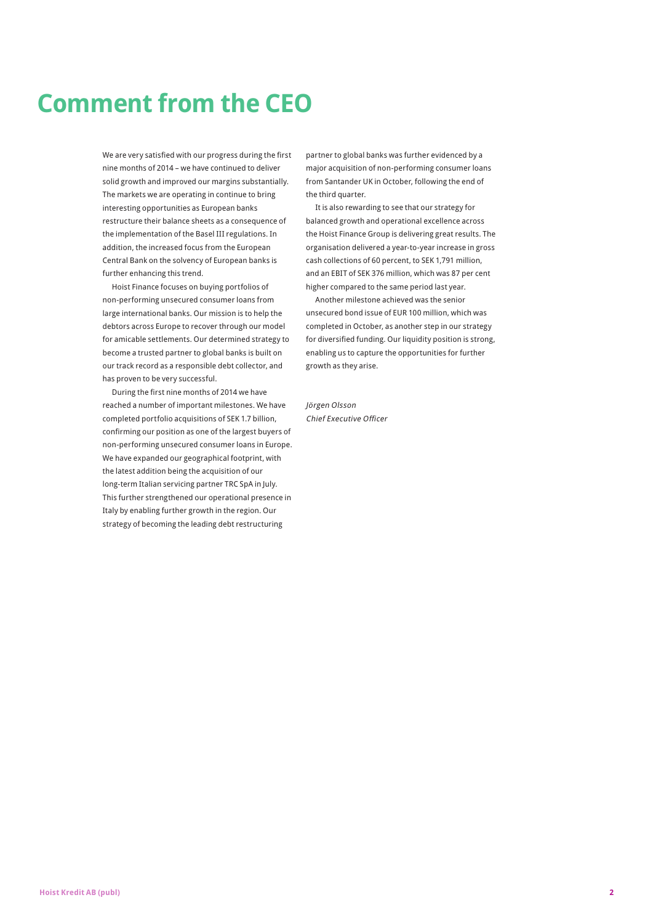# **Comment from the CEO**

We are very satisfied with our progress during the first nine months of 2014 – we have continued to deliver solid growth and improved our margins substantially. The markets we are operating in continue to bring interesting opportunities as European banks restructure their balance sheets as a consequence of the implementation of the Basel III regulations. In addition, the increased focus from the European Central Bank on the solvency of European banks is further enhancing this trend.

Hoist Finance focuses on buying portfolios of non-performing unsecured consumer loans from large international banks. Our mission is to help the debtors across Europe to recover through our model for amicable settlements. Our determined strategy to become a trusted partner to global banks is built on our track record as a responsible debt collector, and has proven to be very successful.

During the first nine months of 2014 we have reached a number of important milestones. We have completed portfolio acquisitions of SEK 1.7 billion, confirming our position as one of the largest buyers of non-performing unsecured consumer loans in Europe. We have expanded our geographical footprint, with the latest addition being the acquisition of our long-term Italian servicing partner TRC SpA in July. This further strengthened our operational presence in Italy by enabling further growth in the region. Our strategy of becoming the leading debt restructuring

partner to global banks was further evidenced by a major acquisition of non-performing consumer loans from Santander UK in October, following the end of the third quarter.

It is also rewarding to see that our strategy for balanced growth and operational excellence across the Hoist Finance Group is delivering great results. The organisation delivered a year-to-year increase in gross cash collections of 60 percent, to SEK 1,791 million, and an EBIT of SEK 376 million, which was 87 per cent higher compared to the same period last year.

Another milestone achieved was the senior unsecured bond issue of EUR 100 million, which was completed in October, as another step in our strategy for diversified funding. Our liquidity position is strong, enabling us to capture the opportunities for further growth as they arise.

Jörgen Olsson Chief Executive Officer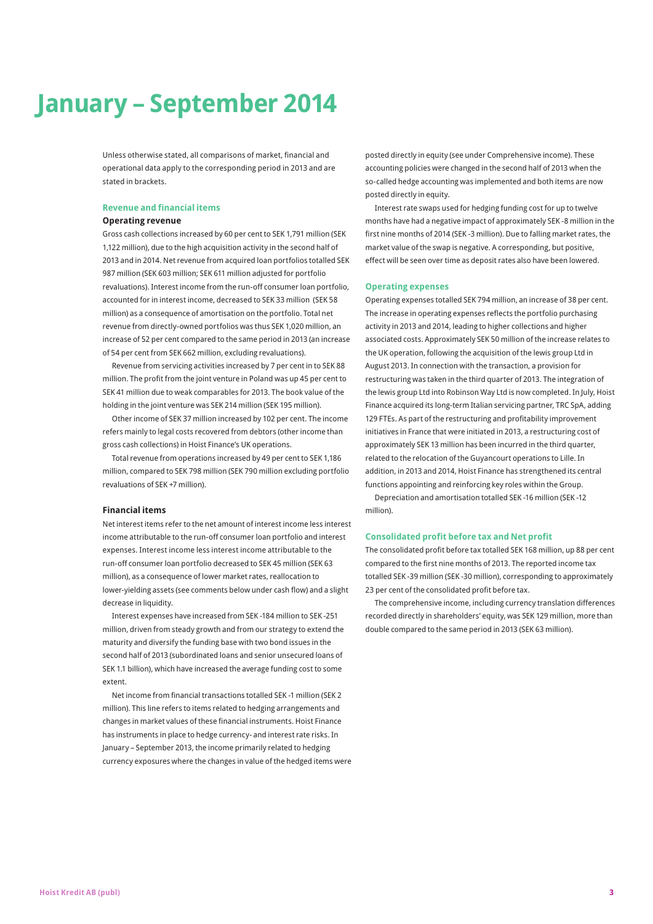# **January – September 2014**

Unless otherwise stated, all comparisons of market, financial and operational data apply to the corresponding period in 2013 and are stated in brackets.

#### **Revenue and financial items**

#### **Operating revenue**

Gross cash collections increased by 60 per cent to SEK 1,791 million (SEK 1,122 million), due to the high acquisition activity in the second half of 2013 and in 2014. Net revenue from acquired loan portfolios totalled SEK 987 million (SEK 603 million; SEK 611 million adjusted for portfolio revaluations). Interest income from the run-off consumer loan portfolio, accounted for in interest income, decreased to SEK 33 million (SEK 58 million) as a consequence of amortisation on the portfolio. Total net revenue from directly-owned portfolios was thus SEK 1,020 million, an increase of 52 per cent compared to the same period in 2013 (an increase of 54 per cent from SEK 662 million, excluding revaluations).

Revenue from servicing activities increased by 7 per cent in to SEK 88 million. The profit from the joint venture in Poland was up 45 per cent to SEK 41 million due to weak comparables for 2013. The book value of the holding in the joint venture was SEK 214 million (SEK 195 million).

Other income of SEK 37 million increased by 102 per cent. The income refers mainly to legal costs recovered from debtors (other income than gross cash collections) in Hoist Finance's UK operations.

Total revenue from operations increased by 49 per cent to SEK 1,186 million, compared to SEK 798 million (SEK 790 million excluding portfolio revaluations of SEK +7 million).

#### **Financial items**

Net interest items refer to the net amount of interest income less interest income attributable to the run-off consumer loan portfolio and interest expenses. Interest income less interest income attributable to the run-off consumer loan portfolio decreased to SEK 45 million (SEK 63 million), as a consequence of lower market rates, reallocation to lower-yielding assets (see comments below under cash flow) and a slight decrease in liquidity.

Interest expenses have increased from SEK -184 million to SEK -251 million, driven from steady growth and from our strategy to extend the maturity and diversify the funding base with two bond issues in the second half of 2013 (subordinated loans and senior unsecured loans of SEK 1.1 billion), which have increased the average funding cost to some extent.

Net income from financial transactions totalled SEK -1 million (SEK 2 million). This line refers to items related to hedging arrangements and changes in market values of these financial instruments. Hoist Finance has instruments in place to hedge currency- and interest rate risks. In January – September 2013, the income primarily related to hedging currency exposures where the changes in value of the hedged items were posted directly in equity (see under Comprehensive income). These accounting policies were changed in the second half of 2013 when the so-called hedge accounting was implemented and both items are now posted directly in equity.

Interest rate swaps used for hedging funding cost for up to twelve months have had a negative impact of approximately SEK -8 million in the first nine months of 2014 (SEK -3 million). Due to falling market rates, the market value of the swap is negative. A corresponding, but positive, effect will be seen over time as deposit rates also have been lowered.

#### **Operating expenses**

Operating expenses totalled SEK 794 million, an increase of 38 per cent. The increase in operating expenses reflects the portfolio purchasing activity in 2013 and 2014, leading to higher collections and higher associated costs. Approximately SEK 50 million of the increase relates to the UK operation, following the acquisition of the lewis group Ltd in August 2013. In connection with the transaction, a provision for restructuring was taken in the third quarter of 2013. The integration of the lewis group Ltd into Robinson Way Ltd is now completed. In July, Hoist Finance acquired its long-term Italian servicing partner, TRC SpA, adding 129 FTEs. As part of the restructuring and profitability improvement initiatives in France that were initiated in 2013, a restructuring cost of approximately SEK 13 million has been incurred in the third quarter, related to the relocation of the Guyancourt operations to Lille. In addition, in 2013 and 2014, Hoist Finance has strengthened its central functions appointing and reinforcing key roles within the Group.

Depreciation and amortisation totalled SEK -16 million (SEK -12 million).

#### **Consolidated profit before tax and Net profit**

The consolidated profit before tax totalled SEK 168 million, up 88 per cent compared to the first nine months of 2013. The reported income tax totalled SEK -39 million (SEK -30 million), corresponding to approximately 23 per cent of the consolidated profit before tax.

The comprehensive income, including currency translation differences recorded directly in shareholders' equity, was SEK 129 million, more than double compared to the same period in 2013 (SEK 63 million).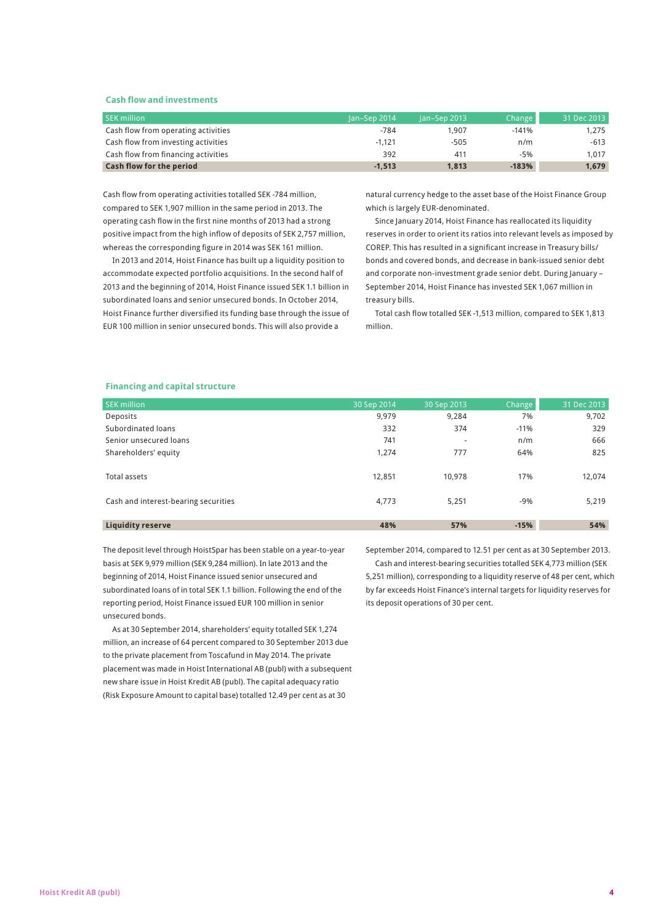#### **Cash flow and investments**

| <b>SEK million</b>                  | lan-Sep 2014 | $lan-Sep 2013$ | Change  | 31 Dec 2013 |
|-------------------------------------|--------------|----------------|---------|-------------|
| Cash flow from operating activities | $-784$       | 1.907          | $-141%$ | 1.275       |
| Cash flow from investing activities | $-1.121$     | $-505$         | n/m     | $-613$      |
| Cash flow from financing activities | 392          | 411            | $-5%$   | 1.017       |
| Cash flow for the period            | $-1.513$     | 1,813          | $-183%$ | 1,679       |

Cash flow from operating activities totalled SEK -784 million, compared to SEK 1,907 million in the same period in 2013. The operating cash flow in the first nine months of 2013 had a strong positive impact from the high inflow of deposits of SEK 2,757 million, whereas the corresponding figure in 2014 was SEK 161 million.

In 2013 and 2014, Hoist Finance has built up a liquidity position to accommodate expected portfolio acquisitions. In the second half of 2013 and the beginning of 2014, Hoist Finance issued SEK 1.1 billion in subordinated loans and senior unsecured bonds. In October 2014, Hoist Finance further diversified its funding base through the issue of EUR 100 million in senior unsecured bonds. This will also provide a

natural currency hedge to the asset base of the Hoist Finance Group which is largely EUR-denominated.

Since January 2014, Hoist Finance has reallocated its liquidity reserves in order to orient its ratios into relevant levels as imposed by COREP. This has resulted in a significant increase in Treasury bills/ bonds and covered bonds, and decrease in bank-issued senior debt and corporate non-investment grade senior debt. During January – September 2014, Hoist Finance has invested SEK 1,067 million in treasury bills.

Total cash flow totalled SEK -1,513 million, compared to SEK 1,813 million.

#### **Financing and capital structure**

| <b>SEK million</b>                   | 30 Sep 2014 | 30 Sep 2013 | <b>Change</b> | 31 Dec 2013 |
|--------------------------------------|-------------|-------------|---------------|-------------|
| Deposits                             | 9,979       | 9,284       | 7%            | 9,702       |
| Subordinated loans                   | 332         | 374         | $-11%$        | 329         |
| Senior unsecured loans               | 741         | ٠           | n/m           | 666         |
| Shareholders' equity                 | 1.274       | 777         | 64%           | 825         |
|                                      |             |             |               |             |
| Total assets                         | 12,851      | 10,978      | 17%           | 12,074      |
|                                      |             |             |               |             |
| Cash and interest-bearing securities | 4,773       | 5.251       | $-9%$         | 5,219       |
|                                      |             |             |               |             |
| <b>Liquidity reserve</b>             | 48%         | 57%         | $-15%$        | 54%         |

The deposit level through HoistSpar has been stable on a year-to-year basis at SEK 9,979 million (SEK 9,284 million). In late 2013 and the beginning of 2014, Hoist Finance issued senior unsecured and subordinated loans of in total SEK 1.1 billion. Following the end of the reporting period, Hoist Finance issued EUR 100 million in senior unsecured bonds.

As at 30 September 2014, shareholders' equity totalled SEK 1,274 million, an increase of 64 percent compared to 30 September 2013 due to the private placement from Toscafund in May 2014. The private placement was made in Hoist International AB (publ) with a subsequent new share issue in Hoist Kredit AB (publ). The capital adequacy ratio (Risk Exposure Amount to capital base) totalled 12.49 per cent as at 30

September 2014, compared to 12.51 per cent as at 30 September 2013.

Cash and interest-bearing securities totalled SEK 4,773 million (SEK 5,251 million), corresponding to a liquidity reserve of 48 per cent, which by far exceeds Hoist Finance's internal targets for liquidity reserves for its deposit operations of 30 per cent.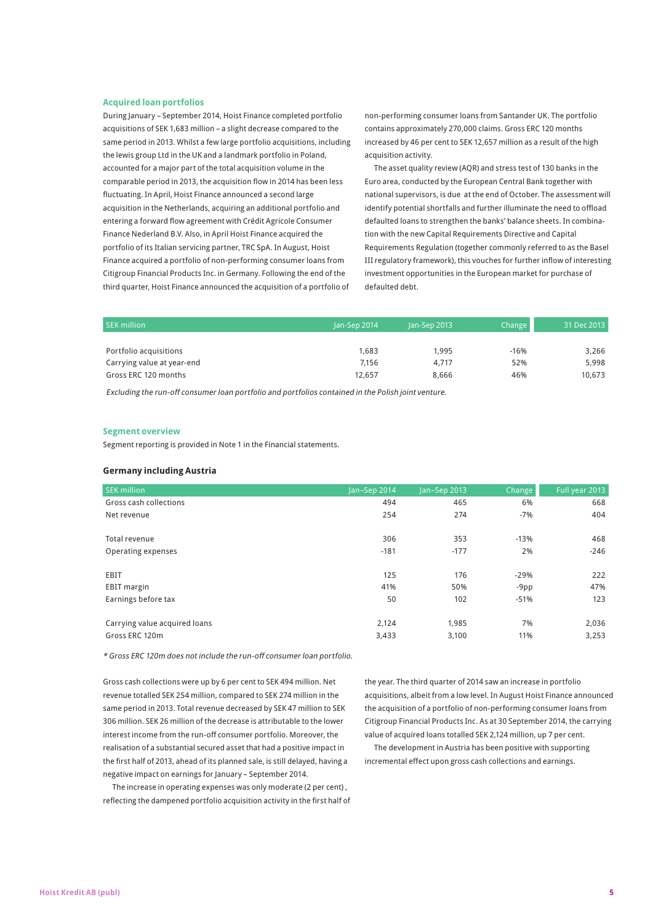#### **Acquired loan portfolios**

During January – September 2014, Hoist Finance completed portfolio acquisitions of SEK 1,683 million – a slight decrease compared to the same period in 2013. Whilst a few large portfolio acquisitions, including the lewis group Ltd in the UK and a landmark portfolio in Poland, accounted for a major part of the total acquisition volume in the comparable period in 2013, the acquisition flow in 2014 has been less fluctuating. In April, Hoist Finance announced a second large acquisition in the Netherlands, acquiring an additional portfolio and entering a forward flow agreement with Crédit Agricole Consumer Finance Nederland B.V. Also, in April Hoist Finance acquired the portfolio of its Italian servicing partner, TRC SpA. In August, Hoist Finance acquired a portfolio of non-performing consumer loans from Citigroup Financial Products Inc. in Germany. Following the end of the third quarter, Hoist Finance announced the acquisition of a portfolio of

non-performing consumer loans from Santander UK. The portfolio contains approximately 270,000 claims. Gross ERC 120 months increased by 46 per cent to SEK 12,657 million as a result of the high acquisition activity.

The asset quality review (AQR) and stress test of 130 banks in the Euro area, conducted by the European Central Bank together with national supervisors, is due at the end of October. The assessment will identify potential shortfalls and further illuminate the need to offload defaulted loans to strengthen the banks' balance sheets. In combination with the new Capital Requirements Directive and Capital Requirements Regulation (together commonly referred to as the Basel III regulatory framework), this vouches for further inflow of interesting investment opportunities in the European market for purchase of defaulted debt.

| <b>SEK million</b>         | lan-Sep 2014 | $lan-Sep 2013$ | Change | 31 Dec 2013 |
|----------------------------|--------------|----------------|--------|-------------|
|                            |              |                |        |             |
| Portfolio acquisitions     | 1.683        | 1.995          | $-16%$ | 3,266       |
| Carrying value at year-end | 7.156        | 4.717          | 52%    | 5.998       |
| Gross ERC 120 months       | 12.657       | 8.666          | 46%    | 10.673      |

Excluding the run-off consumer loan portfolio and portfolios contained in the Polish joint venture.

#### **Segment overview**

Segment reporting is provided in Note 1 in the Financial statements.

#### **Germany including Austria**

| <b>SEK million</b>            | Jan-Sep 2014 | Jan-Sep 2013 | <b>Change</b> | Full year 2013 |
|-------------------------------|--------------|--------------|---------------|----------------|
| Gross cash collections        | 494          | 465          | 6%            | 668            |
| Net revenue                   | 254          | 274          | $-7%$         | 404            |
| Total revenue                 | 306          | 353          | $-13%$        | 468            |
| Operating expenses            | $-181$       | $-177$       | 2%            | $-246$         |
| EBIT                          | 125          | 176          | $-29%$        | 222            |
| <b>EBIT</b> margin            | 41%          | 50%          | $-9pp$        | 47%            |
| Earnings before tax           | 50           | 102          | $-51%$        | 123            |
| Carrying value acquired loans | 2,124        | 1,985        | 7%            | 2,036          |
| Gross ERC 120m                | 3,433        | 3,100        | 11%           | 3,253          |

\* Gross ERC 120m does not include the run-off consumer loan portfolio.

Gross cash collections were up by 6 per cent to SEK 494 million. Net revenue totalled SEK 254 million, compared to SEK 274 million in the same period in 2013. Total revenue decreased by SEK 47 million to SEK 306 million. SEK 26 million of the decrease is attributable to the lower interest income from the run-off consumer portfolio. Moreover, the realisation of a substantial secured asset that had a positive impact in the first half of 2013, ahead of its planned sale, is still delayed, having a negative impact on earnings for January – September 2014.

The increase in operating expenses was only moderate (2 per cent) , reflecting the dampened portfolio acquisition activity in the first half of the year. The third quarter of 2014 saw an increase in portfolio acquisitions, albeit from a low level. In August Hoist Finance announced the acquisition of a portfolio of non-performing consumer loans from Citigroup Financial Products Inc. As at 30 September 2014, the carrying value of acquired loans totalled SEK 2,124 million, up 7 per cent.

The development in Austria has been positive with supporting incremental effect upon gross cash collections and earnings.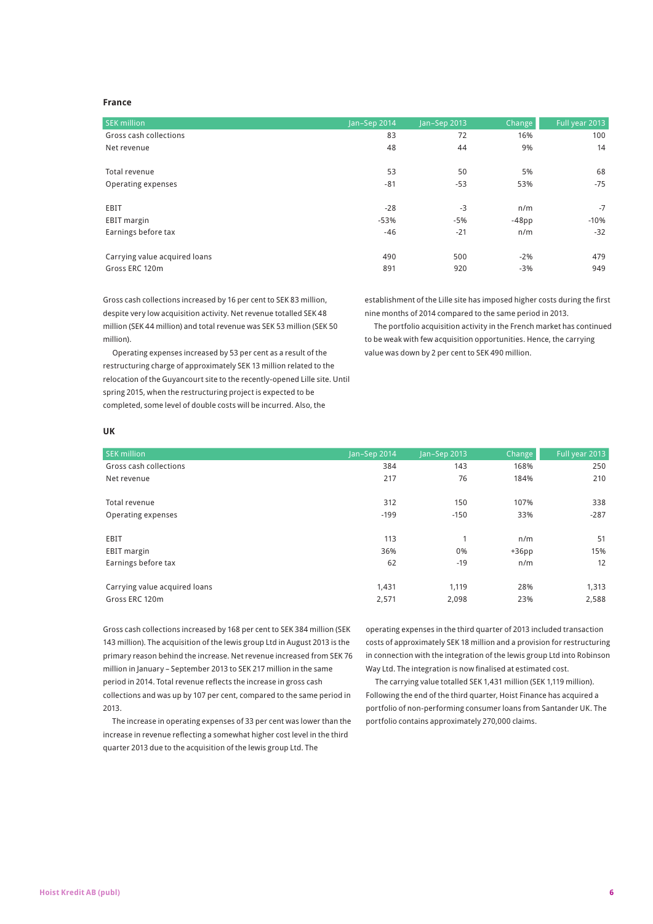## **France**

| <b>SEK million</b>            | Jan-Sep 2014 | Jan-Sep 2013 | Change   | Full year 2013 |
|-------------------------------|--------------|--------------|----------|----------------|
| Gross cash collections        | 83           | 72           | 16%      | 100            |
| Net revenue                   | 48           | 44           | 9%       | 14             |
|                               |              |              |          |                |
| Total revenue                 | 53           | 50           | 5%       | 68             |
| Operating expenses            | $-81$        | $-53$        | 53%      | $-75$          |
|                               |              |              |          |                |
| EBIT                          | $-28$        | $-3$         | n/m      | $-7$           |
| <b>EBIT</b> margin            | $-53%$       | $-5%$        | $-48$ pp | $-10%$         |
| Earnings before tax           | $-46$        | $-21$        | n/m      | $-32$          |
|                               |              |              |          |                |
| Carrying value acquired loans | 490          | 500          | $-2%$    | 479            |
| Gross ERC 120m                | 891          | 920          | $-3%$    | 949            |

Gross cash collections increased by 16 per cent to SEK 83 million, despite very low acquisition activity. Net revenue totalled SEK 48 million (SEK 44 million) and total revenue was SEK 53 million (SEK 50 million).

Operating expenses increased by 53 per cent as a result of the restructuring charge of approximately SEK 13 million related to the relocation of the Guyancourt site to the recently-opened Lille site. Until spring 2015, when the restructuring project is expected to be completed, some level of double costs will be incurred. Also, the

establishment of the Lille site has imposed higher costs during the first nine months of 2014 compared to the same period in 2013.

The portfolio acquisition activity in the French market has continued to be weak with few acquisition opportunities. Hence, the carrying value was down by 2 per cent to SEK 490 million.

#### **UK**

| <b>SEK million</b>            | Jan-Sep 2014 | Jan-Sep 2013 | <b>Change</b> | Full year 2013 |
|-------------------------------|--------------|--------------|---------------|----------------|
| Gross cash collections        | 384          | 143          | 168%          | 250            |
| Net revenue                   | 217          | 76           | 184%          | 210            |
| Total revenue                 | 312          | 150          | 107%          | 338            |
| Operating expenses            | $-199$       | $-150$       | 33%           | $-287$         |
| EBIT                          | 113          | 1            | n/m           | 51             |
| <b>EBIT</b> margin            | 36%          | 0%           | $+36pp$       | 15%            |
| Earnings before tax           | 62           | $-19$        | n/m           | 12             |
| Carrying value acquired loans | 1,431        | 1,119        | 28%           | 1,313          |
| Gross ERC 120m                | 2,571        | 2,098        | 23%           | 2,588          |

Gross cash collections increased by 168 per cent to SEK 384 million (SEK 143 million). The acquisition of the lewis group Ltd in August 2013 is the primary reason behind the increase. Net revenue increased from SEK 76 million in January – September 2013 to SEK 217 million in the same period in 2014. Total revenue reflects the increase in gross cash collections and was up by 107 per cent, compared to the same period in 2013.

The increase in operating expenses of 33 per cent was lower than the increase in revenue reflecting a somewhat higher cost level in the third quarter 2013 due to the acquisition of the lewis group Ltd. The

operating expenses in the third quarter of 2013 included transaction costs of approximately SEK 18 million and a provision for restructuring in connection with the integration of the lewis group Ltd into Robinson Way Ltd. The integration is now finalised at estimated cost.

The carrying value totalled SEK 1,431 million (SEK 1,119 million). Following the end of the third quarter, Hoist Finance has acquired a portfolio of non-performing consumer loans from Santander UK. The portfolio contains approximately 270,000 claims.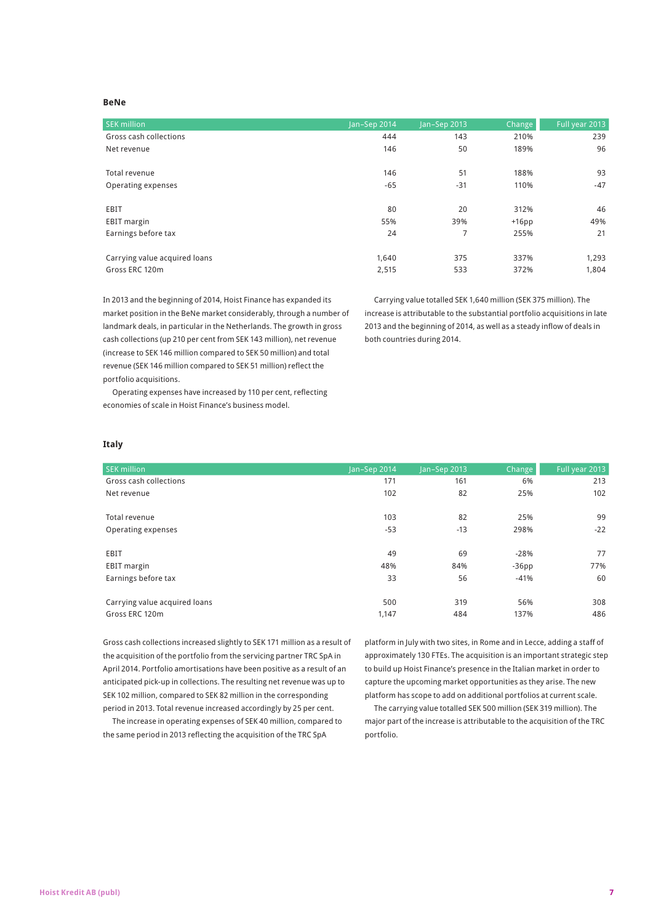#### **BeNe**

| <b>SEK million</b>            | Jan-Sep 2014 | Jan-Sep 2013 | Change  | Full year 2013 |
|-------------------------------|--------------|--------------|---------|----------------|
| Gross cash collections        | 444          | 143          | 210%    | 239            |
| Net revenue                   | 146          | 50           | 189%    | 96             |
|                               |              |              |         |                |
| Total revenue                 | 146          | 51           | 188%    | 93             |
| Operating expenses            | $-65$        | $-31$        | 110%    | $-47$          |
|                               |              |              |         |                |
| EBIT                          | 80           | 20           | 312%    | 46             |
| <b>EBIT</b> margin            | 55%          | 39%          | $+16pp$ | 49%            |
| Earnings before tax           | 24           | 7            | 255%    | 21             |
|                               |              |              |         |                |
| Carrying value acquired loans | 1,640        | 375          | 337%    | 1,293          |
| Gross ERC 120m                | 2,515        | 533          | 372%    | 1,804          |

In 2013 and the beginning of 2014, Hoist Finance has expanded its market position in the BeNe market considerably, through a number of landmark deals, in particular in the Netherlands. The growth in gross cash collections (up 210 per cent from SEK 143 million), net revenue (increase to SEK 146 million compared to SEK 50 million) and total revenue (SEK 146 million compared to SEK 51 million) reflect the portfolio acquisitions.

Carrying value totalled SEK 1,640 million (SEK 375 million). The increase is attributable to the substantial portfolio acquisitions in late 2013 and the beginning of 2014, as well as a steady inflow of deals in both countries during 2014.

Operating expenses have increased by 110 per cent, reflecting economies of scale in Hoist Finance's business model.

#### **Italy**

| <b>SEK million</b>            | Jan-Sep 2014 | Jan-Sep 2013 | <b>Change</b> | Full year 2013 |
|-------------------------------|--------------|--------------|---------------|----------------|
| Gross cash collections        | 171          | 161          | 6%            | 213            |
| Net revenue                   | 102          | 82           | 25%           | 102            |
|                               |              |              |               |                |
| Total revenue                 | 103          | 82           | 25%           | 99             |
| Operating expenses            | $-53$        | $-13$        | 298%          | $-22$          |
|                               |              |              |               |                |
| EBIT                          | 49           | 69           | $-28%$        | 77             |
| <b>EBIT</b> margin            | 48%          | 84%          | $-36pp$       | 77%            |
| Earnings before tax           | 33           | 56           | $-41%$        | 60             |
|                               |              |              |               |                |
| Carrying value acquired loans | 500          | 319          | 56%           | 308            |
| Gross ERC 120m                | 1,147        | 484          | 137%          | 486            |

Gross cash collections increased slightly to SEK 171 million as a result of the acquisition of the portfolio from the servicing partner TRC SpA in April 2014. Portfolio amortisations have been positive as a result of an anticipated pick-up in collections. The resulting net revenue was up to SEK 102 million, compared to SEK 82 million in the corresponding period in 2013. Total revenue increased accordingly by 25 per cent.

The increase in operating expenses of SEK 40 million, compared to the same period in 2013 reflecting the acquisition of the TRC SpA

platform in July with two sites, in Rome and in Lecce, adding a staff of approximately 130 FTEs. The acquisition is an important strategic step to build up Hoist Finance's presence in the Italian market in order to capture the upcoming market opportunities as they arise. The new platform has scope to add on additional portfolios at current scale.

The carrying value totalled SEK 500 million (SEK 319 million). The major part of the increase is attributable to the acquisition of the TRC portfolio.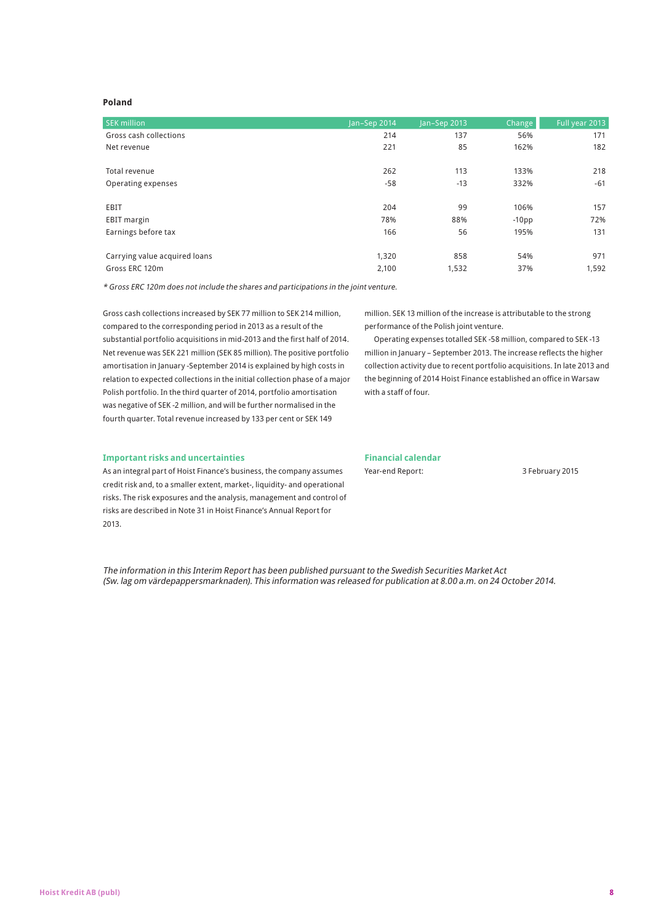### **Poland**

| <b>SEK million</b>            | Jan-Sep 2014 | Jan-Sep 2013 | Change  | Full year 2013 |
|-------------------------------|--------------|--------------|---------|----------------|
| Gross cash collections        | 214          | 137          | 56%     | 171            |
| Net revenue                   | 221          | 85           | 162%    | 182            |
|                               |              |              |         |                |
| Total revenue                 | 262          | 113          | 133%    | 218            |
| Operating expenses            | -58          | $-13$        | 332%    | $-61$          |
|                               |              |              |         |                |
| EBIT                          | 204          | 99           | 106%    | 157            |
| <b>EBIT</b> margin            | 78%          | 88%          | $-10pp$ | 72%            |
| Earnings before tax           | 166          | 56           | 195%    | 131            |
|                               |              |              |         |                |
| Carrying value acquired loans | 1,320        | 858          | 54%     | 971            |
| Gross ERC 120m                | 2,100        | 1,532        | 37%     | 1,592          |

\* Gross ERC 120m does not include the shares and participations in the joint venture.

Gross cash collections increased by SEK 77 million to SEK 214 million, compared to the corresponding period in 2013 as a result of the substantial portfolio acquisitions in mid-2013 and the first half of 2014. Net revenue was SEK 221 million (SEK 85 million). The positive portfolio amortisation in January -September 2014 is explained by high costs in relation to expected collections in the initial collection phase of a major Polish portfolio. In the third quarter of 2014, portfolio amortisation was negative of SEK -2 million, and will be further normalised in the fourth quarter. Total revenue increased by 133 per cent or SEK 149

million. SEK 13 million of the increase is attributable to the strong performance of the Polish joint venture.

Operating expenses totalled SEK -58 million, compared to SEK -13 million in January – September 2013. The increase reflects the higher collection activity due to recent portfolio acquisitions. In late 2013 and the beginning of 2014 Hoist Finance established an office in Warsaw with a staff of four.

#### **Important risks and uncertainties**

As an integral part of Hoist Finance's business, the company assumes credit risk and, to a smaller extent, market-, liquidity- and operational risks. The risk exposures and the analysis, management and control of risks are described in Note 31 in Hoist Finance's Annual Report for 2013.

## **Financial calendar**

Year-end Report: 3 February 2015

The information in this Interim Report has been published pursuant to the Swedish Securities Market Act (Sw. lag om värdepappersmarknaden). This information was released for publication at 8.00 a.m. on 24 October 2014.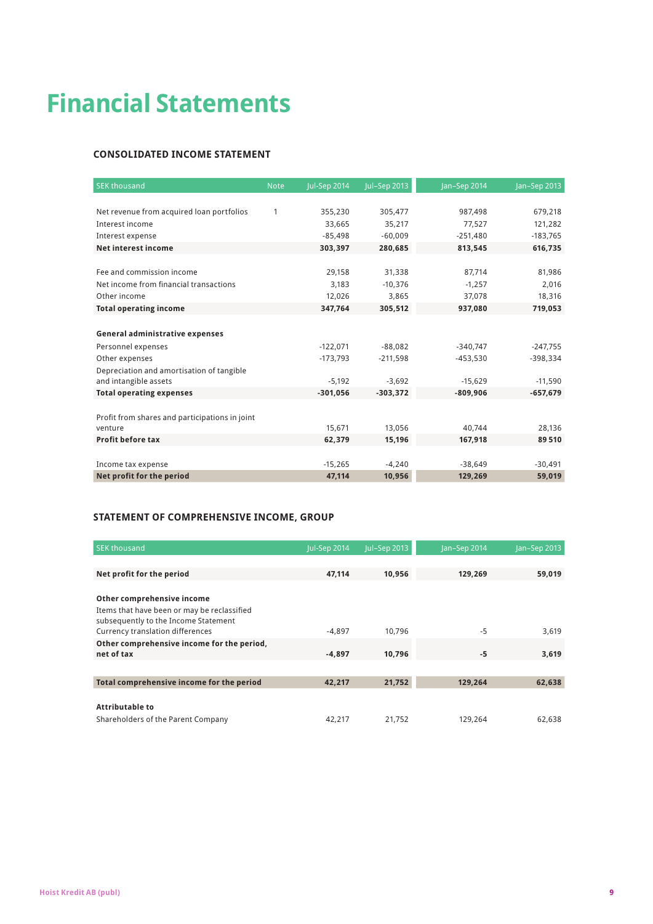# **Financial Statements**

## **Consolidated Income Statement**

| <b>SEK thousand</b>                            | <b>Note</b> | <b>Jul-Sep 2014</b> | Jul-Sep 2013 | Jan-Sep 2014 | Jan-Sep 2013 |
|------------------------------------------------|-------------|---------------------|--------------|--------------|--------------|
|                                                |             |                     |              |              |              |
| Net revenue from acquired loan portfolios      | 1           | 355,230             | 305,477      | 987,498      | 679,218      |
| Interest income                                |             | 33.665              | 35,217       | 77,527       | 121,282      |
| Interest expense                               |             | $-85,498$           | $-60.009$    | $-251,480$   | $-183,765$   |
| Net interest income                            |             | 303,397             | 280,685      | 813,545      | 616,735      |
|                                                |             |                     |              |              |              |
| Fee and commission income                      |             | 29,158              | 31,338       | 87,714       | 81,986       |
| Net income from financial transactions         |             | 3,183               | $-10,376$    | $-1,257$     | 2,016        |
| Other income                                   |             | 12,026              | 3,865        | 37,078       | 18,316       |
| <b>Total operating income</b>                  |             | 347,764             | 305,512      | 937,080      | 719,053      |
|                                                |             |                     |              |              |              |
| General administrative expenses                |             |                     |              |              |              |
| Personnel expenses                             |             | $-122,071$          | $-88,082$    | $-340,747$   | $-247,755$   |
| Other expenses                                 |             | $-173.793$          | $-211.598$   | $-453,530$   | $-398.334$   |
| Depreciation and amortisation of tangible      |             |                     |              |              |              |
| and intangible assets                          |             | $-5,192$            | $-3,692$     | $-15,629$    | $-11,590$    |
| <b>Total operating expenses</b>                |             | $-301,056$          | $-303,372$   | $-809,906$   | $-657,679$   |
|                                                |             |                     |              |              |              |
| Profit from shares and participations in joint |             |                     |              |              |              |
| venture                                        |             | 15,671              | 13,056       | 40,744       | 28,136       |
| <b>Profit before tax</b>                       |             | 62,379              | 15,196       | 167,918      | 89510        |
|                                                |             |                     |              |              |              |
| Income tax expense                             |             | $-15,265$           | $-4,240$     | $-38.649$    | $-30,491$    |
| Net profit for the period                      |             | 47,114              | 10,956       | 129,269      | 59,019       |

## **Statement of Comprehensive Income, GROUP**

| <b>SEK thousand</b>                                                                 | <b>Jul-Sep 2014</b> | Jul-Sep 2013 | Jan-Sep 2014 | Jan-Sep 2013 |
|-------------------------------------------------------------------------------------|---------------------|--------------|--------------|--------------|
|                                                                                     |                     |              |              |              |
| Net profit for the period                                                           | 47,114              | 10,956       | 129,269      | 59,019       |
|                                                                                     |                     |              |              |              |
| Other comprehensive income                                                          |                     |              |              |              |
| Items that have been or may be reclassified<br>subsequently to the Income Statement |                     |              |              |              |
| Currency translation differences                                                    | $-4.897$            | 10.796       | $-5$         | 3,619        |
| Other comprehensive income for the period,                                          |                     |              |              |              |
| net of tax                                                                          | $-4.897$            | 10.796       | -5           | 3.619        |
|                                                                                     |                     |              |              |              |
| Total comprehensive income for the period                                           | 42,217              | 21,752       | 129,264      | 62,638       |
|                                                                                     |                     |              |              |              |
| <b>Attributable to</b>                                                              |                     |              |              |              |
| Shareholders of the Parent Company                                                  | 42,217              | 21.752       | 129.264      | 62,638       |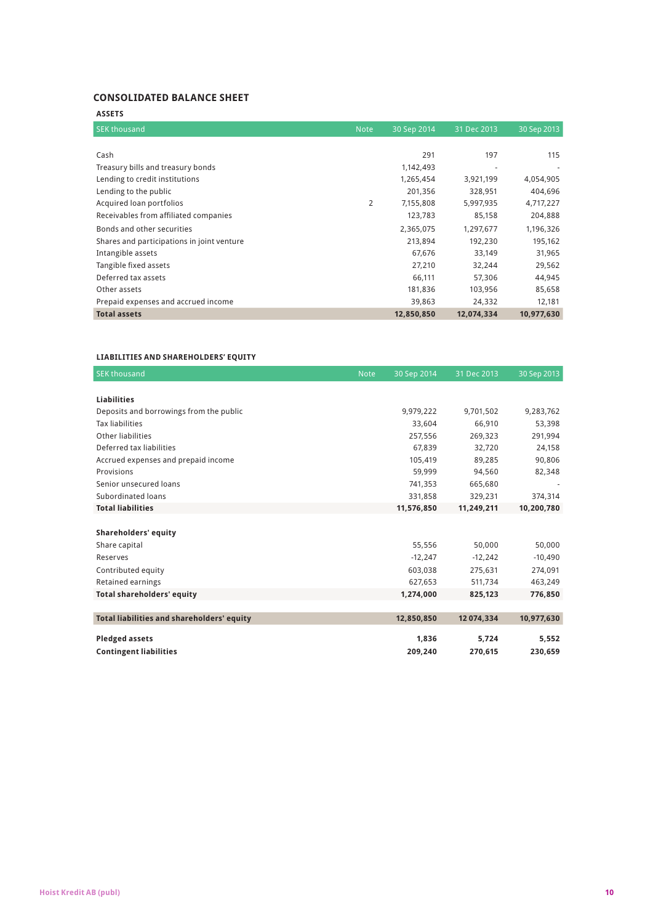## **Consolidated Balance Sheet**

| <b>ASSETS</b>                              |                |             |             |             |
|--------------------------------------------|----------------|-------------|-------------|-------------|
| <b>SEK thousand</b>                        | <b>Note</b>    | 30 Sep 2014 | 31 Dec 2013 | 30 Sep 2013 |
|                                            |                |             |             |             |
| Cash                                       |                | 291         | 197         | 115         |
| Treasury bills and treasury bonds          |                | 1,142,493   |             |             |
| Lending to credit institutions             |                | 1,265,454   | 3,921,199   | 4,054,905   |
| Lending to the public                      |                | 201,356     | 328,951     | 404,696     |
| Acquired loan portfolios                   | $\overline{2}$ | 7,155,808   | 5,997,935   | 4,717,227   |
| Receivables from affiliated companies      |                | 123,783     | 85,158      | 204,888     |
| Bonds and other securities                 |                | 2,365,075   | 1,297,677   | 1,196,326   |
| Shares and participations in joint venture |                | 213,894     | 192,230     | 195,162     |
| Intangible assets                          |                | 67,676      | 33,149      | 31,965      |
| Tangible fixed assets                      |                | 27,210      | 32,244      | 29,562      |
| Deferred tax assets                        |                | 66,111      | 57,306      | 44,945      |
| Other assets                               |                | 181,836     | 103,956     | 85,658      |
| Prepaid expenses and accrued income        |                | 39,863      | 24,332      | 12,181      |
| <b>Total assets</b>                        |                | 12,850,850  | 12,074,334  | 10,977,630  |

## **LIABILITIES AND SHAREHOLDERS' EQUITY**

| <b>SEK thousand</b>                        | <b>Note</b> | 30 Sep 2014 | 31 Dec 2013 | 30 Sep 2013 |
|--------------------------------------------|-------------|-------------|-------------|-------------|
|                                            |             |             |             |             |
| <b>Liabilities</b>                         |             |             |             |             |
| Deposits and borrowings from the public    |             | 9.979.222   | 9.701.502   | 9,283,762   |
| <b>Tax liabilities</b>                     |             | 33.604      | 66.910      | 53,398      |
| Other liabilities                          |             | 257,556     | 269,323     | 291,994     |
| Deferred tax liabilities                   |             | 67.839      | 32.720      | 24,158      |
| Accrued expenses and prepaid income        |             | 105.419     | 89.285      | 90,806      |
| Provisions                                 |             | 59,999      | 94,560      | 82,348      |
| Senior unsecured loans                     |             | 741.353     | 665.680     |             |
| Subordinated loans                         |             | 331,858     | 329,231     | 374,314     |
| <b>Total liabilities</b>                   |             | 11,576,850  | 11,249,211  | 10,200,780  |
|                                            |             |             |             |             |
| Shareholders' equity                       |             |             |             |             |
| Share capital                              |             | 55,556      | 50,000      | 50,000      |
| Reserves                                   |             | $-12,247$   | $-12,242$   | $-10,490$   |
| Contributed equity                         |             | 603,038     | 275,631     | 274,091     |
| Retained earnings                          |             | 627,653     | 511,734     | 463,249     |
| <b>Total shareholders' equity</b>          |             | 1,274,000   | 825,123     | 776,850     |
|                                            |             |             |             |             |
| Total liabilities and shareholders' equity |             | 12,850,850  | 12 074.334  | 10,977,630  |
|                                            |             |             |             |             |
| <b>Pledged assets</b>                      |             | 1,836       | 5,724       | 5,552       |
| <b>Contingent liabilities</b>              |             | 209,240     | 270,615     | 230,659     |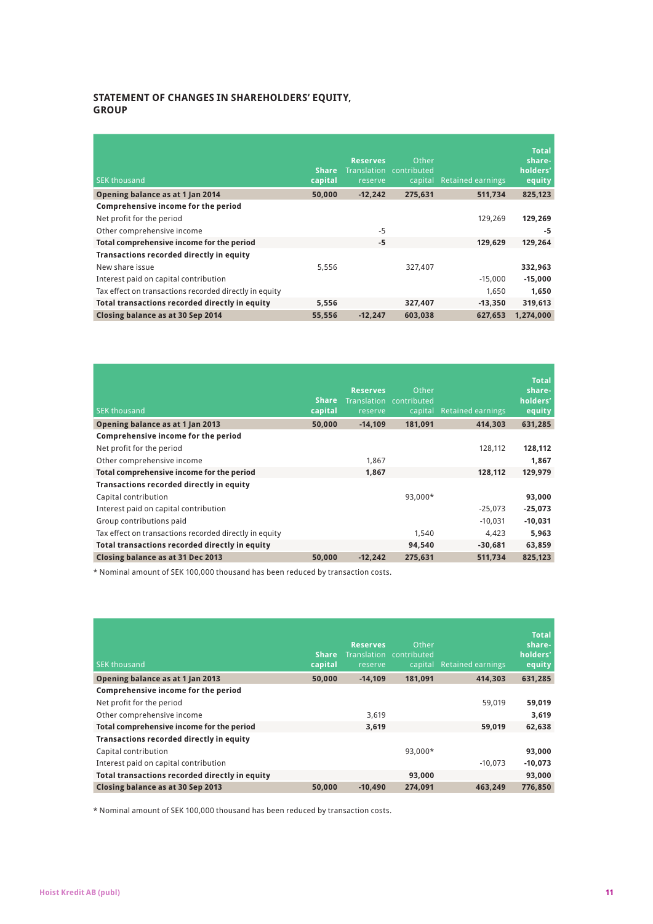## **Statement of Changes in Shareholders' Equity, Group**

| <b>SEK thousand</b>                                    | <b>Share</b><br>capital | <b>Reserves</b><br>reserve | Other<br>Translation contributed<br>capital | <b>Retained earnings</b> | <b>Total</b><br>share-<br>holders'<br>equity |
|--------------------------------------------------------|-------------------------|----------------------------|---------------------------------------------|--------------------------|----------------------------------------------|
| Opening balance as at 1 Jan 2014                       | 50,000                  | $-12,242$                  | 275.631                                     | 511,734                  | 825,123                                      |
| Comprehensive income for the period                    |                         |                            |                                             |                          |                                              |
| Net profit for the period                              |                         |                            |                                             | 129.269                  | 129,269                                      |
| Other comprehensive income                             |                         | $-5$                       |                                             |                          | -5                                           |
| Total comprehensive income for the period              |                         | $-5$                       |                                             | 129.629                  | 129,264                                      |
| Transactions recorded directly in equity               |                         |                            |                                             |                          |                                              |
| New share issue                                        | 5,556                   |                            | 327.407                                     |                          | 332,963                                      |
| Interest paid on capital contribution                  |                         |                            |                                             | $-15,000$                | $-15,000$                                    |
| Tax effect on transactions recorded directly in equity |                         |                            |                                             | 1,650                    | 1,650                                        |
| Total transactions recorded directly in equity         | 5,556                   |                            | 327,407                                     | $-13,350$                | 319,613                                      |
| Closing balance as at 30 Sep 2014                      | 55.556                  | $-12.247$                  | 603,038                                     | 627.653                  | 1.274.000                                    |

| <b>SEK thousand</b>                                    | <b>Share</b><br>capital | <b>Reserves</b><br>reserve | Other<br>Translation contributed<br>capital | <b>Retained earnings</b> | <b>Total</b><br>share-<br>holders'<br>equity |
|--------------------------------------------------------|-------------------------|----------------------------|---------------------------------------------|--------------------------|----------------------------------------------|
| Opening balance as at 1 Jan 2013                       | 50,000                  | $-14.109$                  | 181,091                                     | 414.303                  | 631,285                                      |
| Comprehensive income for the period                    |                         |                            |                                             |                          |                                              |
| Net profit for the period                              |                         |                            |                                             | 128,112                  | 128,112                                      |
| Other comprehensive income                             |                         | 1.867                      |                                             |                          | 1,867                                        |
| Total comprehensive income for the period              |                         | 1.867                      |                                             | 128.112                  | 129,979                                      |
| Transactions recorded directly in equity               |                         |                            |                                             |                          |                                              |
| Capital contribution                                   |                         |                            | 93.000*                                     |                          | 93,000                                       |
| Interest paid on capital contribution                  |                         |                            |                                             | $-25,073$                | $-25,073$                                    |
| Group contributions paid                               |                         |                            |                                             | $-10,031$                | $-10,031$                                    |
| Tax effect on transactions recorded directly in equity |                         |                            | 1.540                                       | 4.423                    | 5,963                                        |
| Total transactions recorded directly in equity         |                         |                            | 94.540                                      | $-30.681$                | 63,859                                       |
| Closing balance as at 31 Dec 2013                      | 50.000                  | $-12.242$                  | 275,631                                     | 511,734                  | 825,123                                      |

\* Nominal amount of SEK 100,000 thousand has been reduced by transaction costs.

| <b>SEK thousand</b>                            | <b>Share</b><br>capital | <b>Reserves</b><br>reserve | Other<br>Translation contributed<br>capital | <b>Retained earnings</b> | <b>Total</b><br>share-<br>holders'<br>equity |
|------------------------------------------------|-------------------------|----------------------------|---------------------------------------------|--------------------------|----------------------------------------------|
| Opening balance as at 1 Jan 2013               | 50.000                  | $-14.109$                  | 181.091                                     | 414.303                  | 631,285                                      |
| Comprehensive income for the period            |                         |                            |                                             |                          |                                              |
| Net profit for the period                      |                         |                            |                                             | 59.019                   | 59,019                                       |
| Other comprehensive income                     |                         | 3.619                      |                                             |                          | 3.619                                        |
| Total comprehensive income for the period      |                         | 3.619                      |                                             | 59.019                   | 62,638                                       |
| Transactions recorded directly in equity       |                         |                            |                                             |                          |                                              |
| Capital contribution                           |                         |                            | 93.000*                                     |                          | 93,000                                       |
| Interest paid on capital contribution          |                         |                            |                                             | $-10.073$                | $-10,073$                                    |
| Total transactions recorded directly in equity |                         |                            | 93,000                                      |                          | 93,000                                       |
| Closing balance as at 30 Sep 2013              | 50,000                  | $-10.490$                  | 274,091                                     | 463.249                  | 776,850                                      |

\* Nominal amount of SEK 100,000 thousand has been reduced by transaction costs.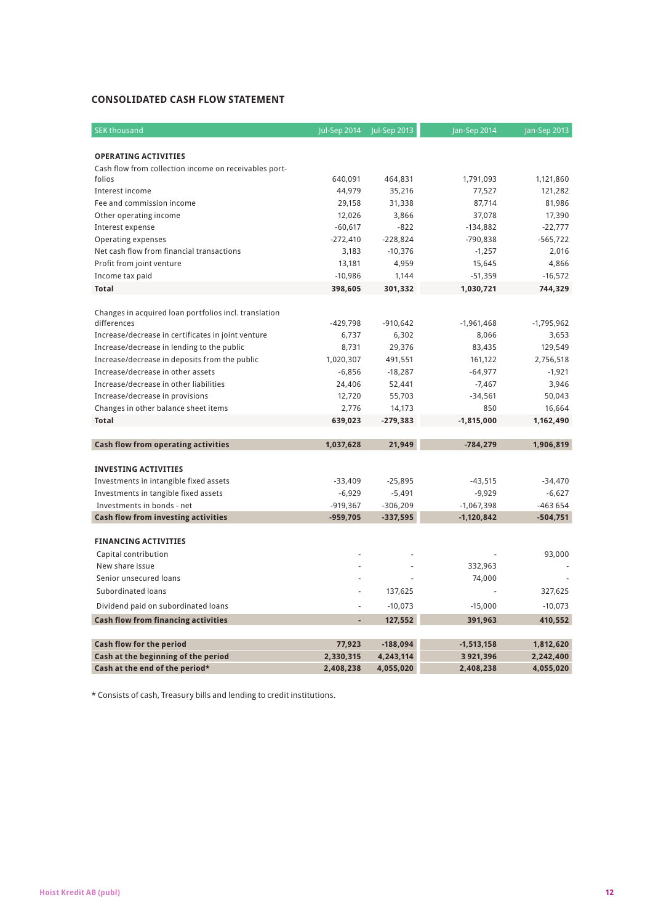## **Consolidated Cash Flow Statement**

| <b>SEK thousand</b>                                                  | Jul-Sep 2014      | Jul-Sep 2013      | Jan-Sep 2014        | Jan-Sep 2013         |
|----------------------------------------------------------------------|-------------------|-------------------|---------------------|----------------------|
|                                                                      |                   |                   |                     |                      |
| <b>OPERATING ACTIVITIES</b>                                          |                   |                   |                     |                      |
| Cash flow from collection income on receivables port-                |                   |                   |                     |                      |
| folios<br>Interest income                                            | 640,091<br>44,979 | 464,831<br>35,216 | 1,791,093<br>77,527 | 1,121,860<br>121,282 |
|                                                                      |                   |                   |                     |                      |
| Fee and commission income                                            | 29,158<br>12,026  | 31,338<br>3,866   | 87,714<br>37,078    | 81,986<br>17,390     |
| Other operating income                                               | $-60,617$         | $-822$            | $-134,882$          | $-22,777$            |
| Interest expense<br>Operating expenses                               | $-272,410$        | $-228,824$        | -790,838            | $-565,722$           |
| Net cash flow from financial transactions                            | 3,183             | $-10,376$         | $-1,257$            | 2,016                |
|                                                                      |                   |                   |                     | 4,866                |
| Profit from joint venture                                            | 13,181            | 4,959             | 15,645              |                      |
| Income tax paid                                                      | $-10,986$         | 1,144             | $-51,359$           | $-16,572$            |
| <b>Total</b>                                                         | 398,605           | 301,332           | 1,030,721           | 744,329              |
|                                                                      |                   |                   |                     |                      |
| Changes in acquired loan portfolios incl. translation<br>differences | $-429,798$        | $-910,642$        | $-1,961,468$        | $-1,795,962$         |
| Increase/decrease in certificates in joint venture                   | 6,737             | 6,302             | 8,066               | 3,653                |
| Increase/decrease in lending to the public                           | 8,731             | 29,376            | 83,435              | 129,549              |
| Increase/decrease in deposits from the public                        | 1,020,307         | 491,551           | 161,122             | 2,756,518            |
| Increase/decrease in other assets                                    | $-6,856$          | $-18,287$         | $-64,977$           | $-1,921$             |
| Increase/decrease in other liabilities                               | 24,406            | 52,441            | $-7,467$            | 3,946                |
| Increase/decrease in provisions                                      | 12,720            | 55,703            | $-34,561$           | 50,043               |
| Changes in other balance sheet items                                 | 2,776             | 14,173            | 850                 | 16,664               |
| <b>Total</b>                                                         | 639,023           | $-279,383$        | $-1,815,000$        | 1,162,490            |
|                                                                      |                   |                   |                     |                      |
| Cash flow from operating activities                                  | 1,037,628         | 21,949            | $-784,279$          | 1,906,819            |
|                                                                      |                   |                   |                     |                      |
| <b>INVESTING ACTIVITIES</b>                                          |                   |                   |                     |                      |
| Investments in intangible fixed assets                               | $-33,409$         | $-25,895$         | $-43,515$           | $-34,470$            |
| Investments in tangible fixed assets                                 | $-6,929$          | $-5,491$          | $-9,929$            | $-6,627$             |
| Investments in bonds - net                                           | $-919,367$        | $-306,209$        | $-1,067,398$        | -463 654             |
| <b>Cash flow from investing activities</b>                           | $-959,705$        | $-337,595$        | $-1,120,842$        | $-504,751$           |
|                                                                      |                   |                   |                     |                      |
| <b>FINANCING ACTIVITIES</b>                                          |                   |                   |                     |                      |
| Capital contribution                                                 |                   |                   |                     | 93,000               |
| New share issue                                                      |                   |                   | 332,963             |                      |
| Senior unsecured loans                                               |                   |                   | 74,000              |                      |
| Subordinated loans                                                   | ł,                | 137,625           |                     | 327,625              |
| Dividend paid on subordinated loans                                  | ä,                | $-10,073$         | $-15,000$           | $-10,073$            |
|                                                                      |                   |                   |                     |                      |
| <b>Cash flow from financing activities</b>                           |                   | 127,552           | 391,963             | 410,552              |
| <b>Cash flow for the period</b>                                      | 77,923            | $-188,094$        | $-1,513,158$        | 1,812,620            |
| Cash at the beginning of the period                                  | 2,330,315         | 4,243,114         | 3 921,396           | 2,242,400            |
| Cash at the end of the period*                                       | 2,408,238         | 4,055,020         | 2,408,238           | 4,055,020            |

\* Consists of cash, Treasury bills and lending to credit institutions.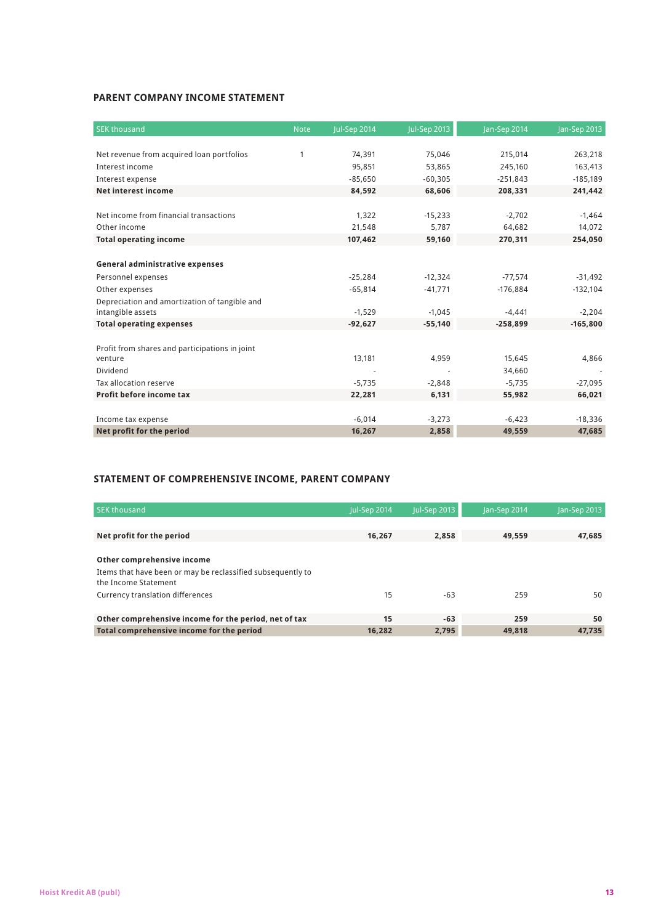## **Parent Company Income Statement**

| <b>SEK thousand</b>                            | <b>Note</b> | Jul-Sep 2014 | Jul-Sep 2013 | Jan-Sep 2014 | Jan-Sep 2013 |
|------------------------------------------------|-------------|--------------|--------------|--------------|--------------|
|                                                |             |              |              |              |              |
| Net revenue from acquired loan portfolios      | 1           | 74,391       | 75,046       | 215,014      | 263,218      |
| Interest income                                |             | 95,851       | 53,865       | 245,160      | 163,413      |
| Interest expense                               |             | $-85,650$    | $-60,305$    | $-251,843$   | $-185,189$   |
| <b>Net interest income</b>                     |             | 84,592       | 68,606       | 208,331      | 241,442      |
|                                                |             |              |              |              |              |
| Net income from financial transactions         |             | 1,322        | $-15,233$    | $-2,702$     | $-1,464$     |
| Other income                                   |             | 21,548       | 5,787        | 64,682       | 14,072       |
| <b>Total operating income</b>                  |             | 107,462      | 59,160       | 270,311      | 254,050      |
|                                                |             |              |              |              |              |
| General administrative expenses                |             |              |              |              |              |
| Personnel expenses                             |             | $-25,284$    | $-12,324$    | $-77,574$    | $-31,492$    |
| Other expenses                                 |             | $-65,814$    | $-41,771$    | $-176,884$   | $-132,104$   |
| Depreciation and amortization of tangible and  |             |              |              |              |              |
| intangible assets                              |             | $-1,529$     | $-1,045$     | $-4,441$     | $-2,204$     |
| <b>Total operating expenses</b>                |             | $-92,627$    | $-55,140$    | $-258,899$   | $-165,800$   |
|                                                |             |              |              |              |              |
| Profit from shares and participations in joint |             |              |              |              |              |
| venture                                        |             | 13,181       | 4,959        | 15,645       | 4,866        |
| Dividend                                       |             |              |              | 34,660       |              |
| Tax allocation reserve                         |             | $-5,735$     | $-2,848$     | $-5,735$     | $-27,095$    |
| Profit before income tax                       |             | 22,281       | 6,131        | 55,982       | 66,021       |
|                                                |             |              |              |              |              |
| Income tax expense                             |             | $-6.014$     | $-3,273$     | $-6,423$     | $-18,336$    |
| Net profit for the period                      |             | 16,267       | 2,858        | 49,559       | 47,685       |

## **statement of comprehensive income, PARENT COMPANY**

| Jul-Sep 2014 | Jul-Sep 2013 | Jan-Sep 2014 | Jan-Sep 2013 |
|--------------|--------------|--------------|--------------|
|              |              |              |              |
| 16.267       | 2.858        | 49.559       | 47.685       |
|              |              |              |              |
|              |              |              |              |
|              |              |              |              |
| 15           | $-63$        | 259          | 50           |
|              |              |              |              |
| 15           | $-63$        | 259          | 50           |
| 16.282       | 2.795        | 49.818       | 47,735       |
|              |              |              |              |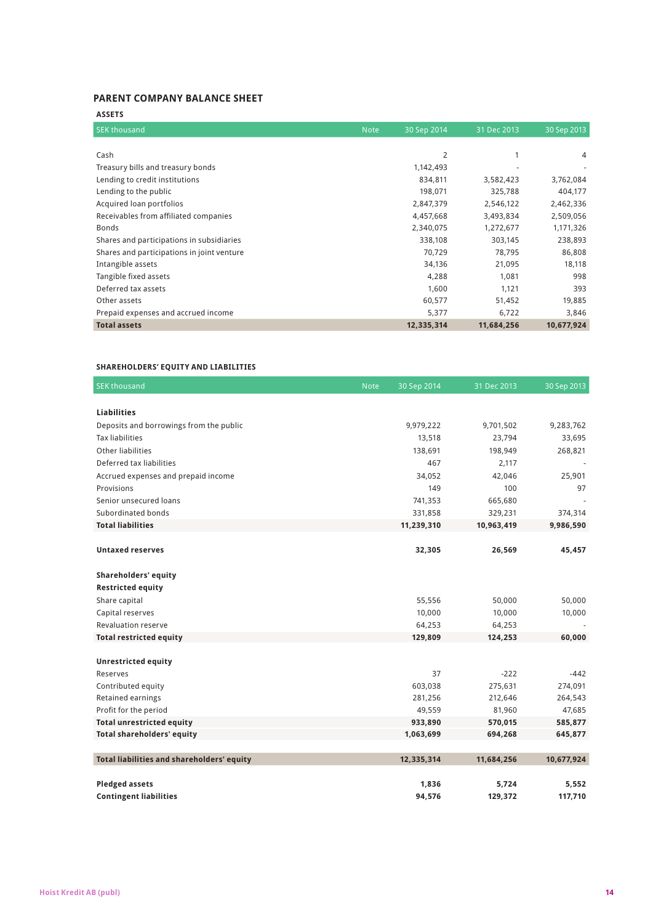## **Parent Company Balance Sheet**

| <b>ASSETS</b>                              |             |             |             |             |
|--------------------------------------------|-------------|-------------|-------------|-------------|
| <b>SEK thousand</b>                        | <b>Note</b> | 30 Sep 2014 | 31 Dec 2013 | 30 Sep 2013 |
|                                            |             |             |             |             |
| Cash                                       |             | 2           |             | 4           |
| Treasury bills and treasury bonds          |             | 1,142,493   |             |             |
| Lending to credit institutions             |             | 834,811     | 3,582,423   | 3,762,084   |
| Lending to the public                      |             | 198,071     | 325,788     | 404,177     |
| Acquired loan portfolios                   |             | 2,847,379   | 2,546,122   | 2,462,336   |
| Receivables from affiliated companies      |             | 4,457,668   | 3,493,834   | 2,509,056   |
| <b>Bonds</b>                               |             | 2,340,075   | 1,272,677   | 1,171,326   |
| Shares and participations in subsidiaries  |             | 338,108     | 303,145     | 238,893     |
| Shares and participations in joint venture |             | 70,729      | 78,795      | 86,808      |
| Intangible assets                          |             | 34,136      | 21,095      | 18,118      |
| Tangible fixed assets                      |             | 4,288       | 1,081       | 998         |
| Deferred tax assets                        |             | 1,600       | 1,121       | 393         |
| Other assets                               |             | 60,577      | 51,452      | 19,885      |
| Prepaid expenses and accrued income        |             | 5,377       | 6,722       | 3,846       |
| <b>Total assets</b>                        |             | 12,335,314  | 11,684,256  | 10,677,924  |

## **SHAREHOLDERS' EQUITY AND LIABILITIES**

| <b>SEK thousand</b>                        | <b>Note</b> | 30 Sep 2014 | 31 Dec 2013 | 30 Sep 2013 |
|--------------------------------------------|-------------|-------------|-------------|-------------|
|                                            |             |             |             |             |
| <b>Liabilities</b>                         |             |             |             |             |
| Deposits and borrowings from the public    |             | 9,979,222   | 9,701,502   | 9,283,762   |
| <b>Tax liabilities</b>                     |             | 13,518      | 23,794      | 33,695      |
| <b>Other liabilities</b>                   |             | 138,691     | 198,949     | 268,821     |
| Deferred tax liabilities                   |             | 467         | 2,117       |             |
| Accrued expenses and prepaid income        |             | 34,052      | 42,046      | 25,901      |
| Provisions                                 |             | 149         | 100         | 97          |
| Senior unsecured loans                     |             | 741,353     | 665,680     |             |
| Subordinated bonds                         |             | 331,858     | 329,231     | 374,314     |
| <b>Total liabilities</b>                   |             | 11,239,310  | 10,963,419  | 9,986,590   |
|                                            |             |             |             |             |
| <b>Untaxed reserves</b>                    |             | 32,305      | 26,569      | 45,457      |
|                                            |             |             |             |             |
| <b>Shareholders' equity</b>                |             |             |             |             |
| <b>Restricted equity</b>                   |             |             |             |             |
| Share capital                              |             | 55,556      | 50,000      | 50,000      |
| Capital reserves                           |             | 10,000      | 10,000      | 10,000      |
| <b>Revaluation reserve</b>                 |             | 64,253      | 64,253      |             |
| <b>Total restricted equity</b>             |             | 129,809     | 124,253     | 60,000      |
|                                            |             |             |             |             |
| <b>Unrestricted equity</b>                 |             |             |             |             |
| Reserves                                   |             | 37          | $-222$      | $-442$      |
| Contributed equity                         |             | 603,038     | 275,631     | 274,091     |
| Retained earnings                          |             | 281,256     | 212,646     | 264,543     |
| Profit for the period                      |             | 49,559      | 81,960      | 47,685      |
| <b>Total unrestricted equity</b>           |             | 933,890     | 570,015     | 585,877     |
| <b>Total shareholders' equity</b>          |             | 1,063,699   | 694,268     | 645,877     |
|                                            |             | 12,335,314  | 11,684,256  | 10,677,924  |
| Total liabilities and shareholders' equity |             |             |             |             |
| <b>Pledged assets</b>                      |             | 1,836       | 5,724       | 5,552       |
| <b>Contingent liabilities</b>              |             | 94,576      | 129,372     | 117,710     |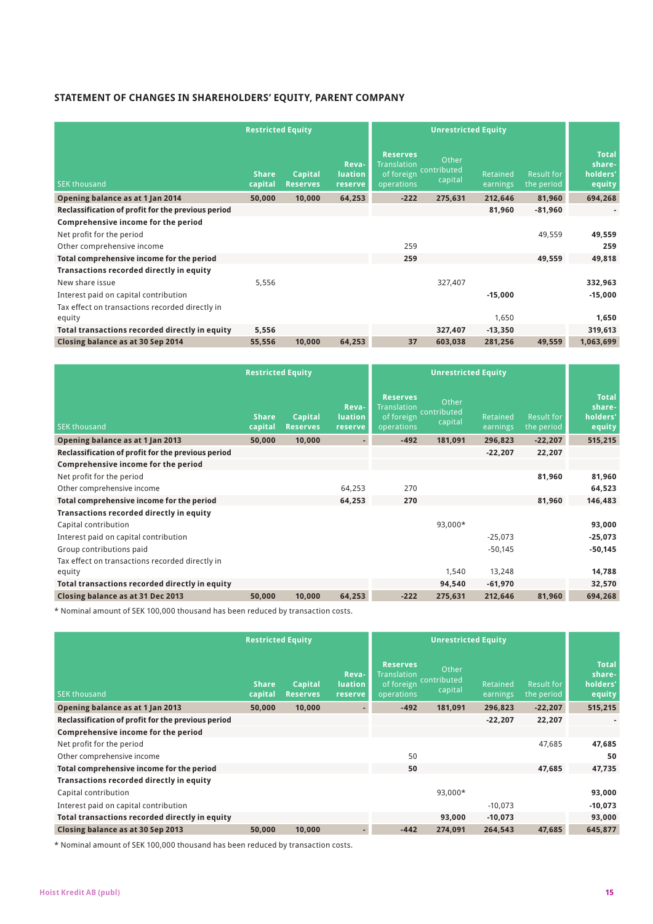## **Statement of Changes in Shareholders' Equity, PARENT COMPANY**

|                                                           | <b>Restricted Equity</b> |                            |                                           | <b>Unrestricted Equity</b>                                        |                                 |                      |                                 |                                              |
|-----------------------------------------------------------|--------------------------|----------------------------|-------------------------------------------|-------------------------------------------------------------------|---------------------------------|----------------------|---------------------------------|----------------------------------------------|
| <b>SEK thousand</b>                                       | <b>Share</b><br>capital  | Capital<br><b>Reserves</b> | <b>Reva-</b><br><b>luation</b><br>reserve | <b>Reserves</b><br><b>Translation</b><br>of foreign<br>operations | Other<br>contributed<br>capital | Retained<br>earnings | <b>Result for</b><br>the period | <b>Total</b><br>share-<br>holders'<br>equity |
| Opening balance as at 1 Jan 2014                          | 50,000                   | 10,000                     | 64,253                                    | $-222$                                                            | 275,631                         | 212,646              | 81,960                          | 694,268                                      |
| Reclassification of profit for the previous period        |                          |                            |                                           |                                                                   |                                 | 81,960               | $-81,960$                       |                                              |
| Comprehensive income for the period                       |                          |                            |                                           |                                                                   |                                 |                      |                                 |                                              |
| Net profit for the period                                 |                          |                            |                                           |                                                                   |                                 |                      | 49,559                          | 49,559                                       |
| Other comprehensive income                                |                          |                            |                                           | 259                                                               |                                 |                      |                                 | 259                                          |
| Total comprehensive income for the period                 |                          |                            |                                           | 259                                                               |                                 |                      | 49.559                          | 49,818                                       |
| Transactions recorded directly in equity                  |                          |                            |                                           |                                                                   |                                 |                      |                                 |                                              |
| New share issue                                           | 5,556                    |                            |                                           |                                                                   | 327,407                         |                      |                                 | 332,963                                      |
| Interest paid on capital contribution                     |                          |                            |                                           |                                                                   |                                 | $-15,000$            |                                 | $-15,000$                                    |
| Tax effect on transactions recorded directly in<br>equity |                          |                            |                                           |                                                                   |                                 | 1,650                |                                 | 1,650                                        |
| Total transactions recorded directly in equity            | 5,556                    |                            |                                           |                                                                   | 327,407                         | $-13,350$            |                                 | 319,613                                      |
| Closing balance as at 30 Sep 2014                         | 55,556                   | 10,000                     | 64,253                                    | 37                                                                | 603,038                         | 281,256              | 49,559                          | 1,063,699                                    |
|                                                           |                          |                            |                                           |                                                                   |                                 |                      |                                 |                                              |

|                                                    | <b>Restricted Equity</b> |                            |                                    | <b>Unrestricted Equity</b>                                        |                                 |                      |                                 |                                              |
|----------------------------------------------------|--------------------------|----------------------------|------------------------------------|-------------------------------------------------------------------|---------------------------------|----------------------|---------------------------------|----------------------------------------------|
| <b>SEK thousand</b>                                | <b>Share</b><br>capital  | Capital<br><b>Reserves</b> | Reva-<br><b>luation</b><br>reserve | <b>Reserves</b><br><b>Translation</b><br>of foreign<br>operations | Other<br>contributed<br>capital | Retained<br>earnings | <b>Result for</b><br>the period | <b>Total</b><br>share-<br>holders'<br>equity |
| Opening balance as at 1 Jan 2013                   | 50,000                   | 10,000                     |                                    | $-492$                                                            | 181,091                         | 296,823              | $-22,207$                       | 515,215                                      |
| Reclassification of profit for the previous period |                          |                            |                                    |                                                                   |                                 | $-22,207$            | 22,207                          |                                              |
| Comprehensive income for the period                |                          |                            |                                    |                                                                   |                                 |                      |                                 |                                              |
| Net profit for the period                          |                          |                            |                                    |                                                                   |                                 |                      | 81,960                          | 81,960                                       |
| Other comprehensive income                         |                          |                            | 64,253                             | 270                                                               |                                 |                      |                                 | 64,523                                       |
| Total comprehensive income for the period          |                          |                            | 64,253                             | 270                                                               |                                 |                      | 81,960                          | 146,483                                      |
| Transactions recorded directly in equity           |                          |                            |                                    |                                                                   |                                 |                      |                                 |                                              |
| Capital contribution                               |                          |                            |                                    |                                                                   | 93,000*                         |                      |                                 | 93,000                                       |
| Interest paid on capital contribution              |                          |                            |                                    |                                                                   |                                 | $-25,073$            |                                 | $-25,073$                                    |
| Group contributions paid                           |                          |                            |                                    |                                                                   |                                 | $-50,145$            |                                 | $-50,145$                                    |
| Tax effect on transactions recorded directly in    |                          |                            |                                    |                                                                   |                                 |                      |                                 |                                              |
| equity                                             |                          |                            |                                    |                                                                   | 1,540                           | 13,248               |                                 | 14,788                                       |
| Total transactions recorded directly in equity     |                          |                            |                                    |                                                                   | 94,540                          | $-61,970$            |                                 | 32,570                                       |
| Closing balance as at 31 Dec 2013                  | 50,000                   | 10,000                     | 64,253                             | $-222$                                                            | 275,631                         | 212,646              | 81,960                          | 694,268                                      |

\* Nominal amount of SEK 100,000 thousand has been reduced by transaction costs.

|                                                    | <b>Restricted Equity</b> |                                   |                                    |                                                                   |                                 |                      |                                 |                                              |
|----------------------------------------------------|--------------------------|-----------------------------------|------------------------------------|-------------------------------------------------------------------|---------------------------------|----------------------|---------------------------------|----------------------------------------------|
| <b>SEK thousand</b>                                | Share,<br>capital        | <b>Capital</b><br><b>Reserves</b> | Reva-<br><b>luation</b><br>reserve | <b>Reserves</b><br><b>Translation</b><br>of foreign<br>operations | Other<br>contributed<br>capital | Retained<br>earnings | <b>Result for</b><br>the period | <b>Total</b><br>share-<br>holders'<br>equity |
| Opening balance as at 1 Jan 2013                   | 50,000                   | 10,000                            |                                    | $-492$                                                            | 181,091                         | 296,823              | $-22,207$                       | 515,215                                      |
| Reclassification of profit for the previous period |                          |                                   |                                    |                                                                   |                                 | $-22,207$            | 22,207                          |                                              |
| Comprehensive income for the period                |                          |                                   |                                    |                                                                   |                                 |                      |                                 |                                              |
| Net profit for the period                          |                          |                                   |                                    |                                                                   |                                 |                      | 47.685                          | 47,685                                       |
| Other comprehensive income                         |                          |                                   |                                    | 50                                                                |                                 |                      |                                 | 50                                           |
| Total comprehensive income for the period          |                          |                                   |                                    | 50                                                                |                                 |                      | 47.685                          | 47,735                                       |
| Transactions recorded directly in equity           |                          |                                   |                                    |                                                                   |                                 |                      |                                 |                                              |
| Capital contribution                               |                          |                                   |                                    |                                                                   | 93,000*                         |                      |                                 | 93,000                                       |
| Interest paid on capital contribution              |                          |                                   |                                    |                                                                   |                                 | $-10,073$            |                                 | $-10,073$                                    |
| Total transactions recorded directly in equity     |                          |                                   |                                    |                                                                   | 93,000                          | $-10,073$            |                                 | 93,000                                       |
| Closing balance as at 30 Sep 2013                  | 50,000                   | 10,000                            |                                    | $-442$                                                            | 274,091                         | 264,543              | 47,685                          | 645,877                                      |
|                                                    |                          |                                   |                                    |                                                                   |                                 |                      |                                 |                                              |

\* Nominal amount of SEK 100,000 thousand has been reduced by transaction costs.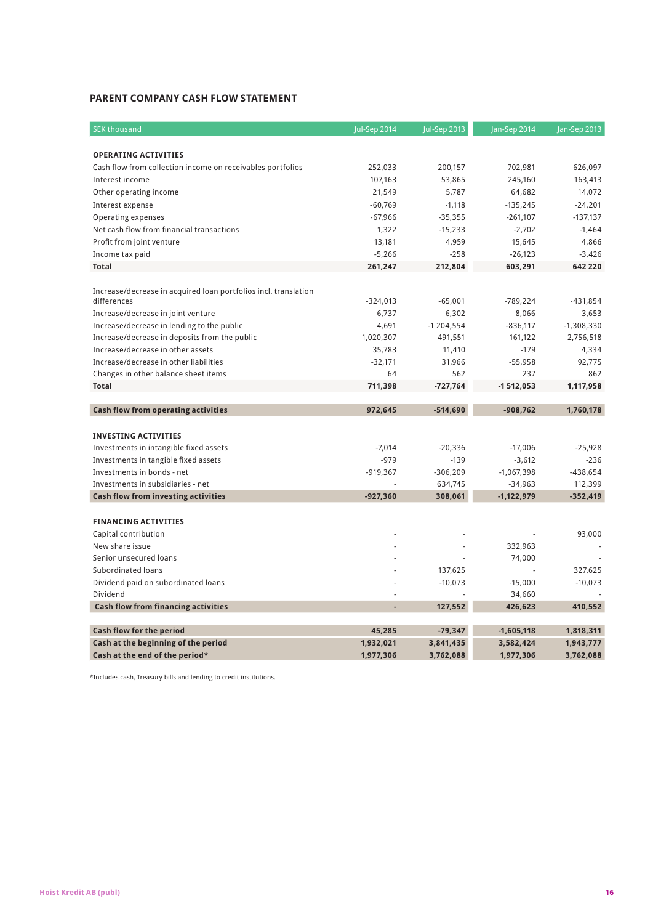## **Parent Company Cash Flow Statement**

| <b>SEK thousand</b>                                                           | Jul-Sep 2014 | Jul-Sep 2013 | Jan-Sep 2014 | Jan-Sep 2013 |
|-------------------------------------------------------------------------------|--------------|--------------|--------------|--------------|
| <b>OPERATING ACTIVITIES</b>                                                   |              |              |              |              |
|                                                                               | 252,033      | 200,157      | 702,981      | 626,097      |
| Cash flow from collection income on receivables portfolios<br>Interest income |              |              |              |              |
|                                                                               | 107,163      | 53,865       | 245,160      | 163,413      |
| Other operating income                                                        | 21,549       | 5,787        | 64,682       | 14,072       |
| Interest expense                                                              | $-60,769$    | $-1,118$     | $-135,245$   | $-24,201$    |
| Operating expenses                                                            | $-67,966$    | $-35,355$    | $-261,107$   | $-137,137$   |
| Net cash flow from financial transactions                                     | 1,322        | $-15,233$    | $-2,702$     | $-1,464$     |
| Profit from joint venture                                                     | 13,181       | 4,959        | 15,645       | 4,866        |
| Income tax paid                                                               | $-5,266$     | $-258$       | $-26,123$    | $-3,426$     |
| <b>Total</b>                                                                  | 261,247      | 212,804      | 603,291      | 642 220      |
| Increase/decrease in acquired loan portfolios incl. translation               |              |              |              |              |
| differences                                                                   | $-324,013$   | $-65,001$    | $-789,224$   | $-431,854$   |
| Increase/decrease in joint venture                                            | 6,737        | 6,302        | 8,066        | 3,653        |
| Increase/decrease in lending to the public                                    | 4,691        | $-1204,554$  | $-836,117$   | $-1,308,330$ |
| Increase/decrease in deposits from the public                                 | 1,020,307    | 491,551      | 161,122      | 2,756,518    |
| Increase/decrease in other assets                                             | 35,783       | 11,410       | $-179$       | 4,334        |
| Increase/decrease in other liabilities                                        | $-32,171$    | 31,966       | $-55,958$    | 92,775       |
| Changes in other balance sheet items                                          | 64           | 562          | 237          | 862          |
| <b>Total</b>                                                                  | 711,398      | $-727,764$   | $-1512,053$  | 1,117,958    |
|                                                                               |              |              |              |              |
| Cash flow from operating activities                                           | 972,645      | $-514,690$   | $-908,762$   | 1,760,178    |
|                                                                               |              |              |              |              |
| <b>INVESTING ACTIVITIES</b>                                                   |              |              |              |              |
| Investments in intangible fixed assets                                        | $-7,014$     | $-20,336$    | $-17,006$    | $-25,928$    |
| Investments in tangible fixed assets                                          | $-979$       | $-139$       | $-3,612$     | $-236$       |
| Investments in bonds - net                                                    | $-919,367$   | $-306,209$   | $-1,067,398$ | $-438,654$   |
| Investments in subsidiaries - net                                             |              | 634,745      | $-34,963$    | 112,399      |
| Cash flow from investing activities                                           | $-927.360$   | 308,061      | $-1,122,979$ | $-352,419$   |
|                                                                               |              |              |              |              |
| <b>FINANCING ACTIVITIES</b>                                                   |              |              |              |              |
| Capital contribution                                                          |              |              |              | 93,000       |
| New share issue                                                               |              |              | 332,963      |              |
| Senior unsecured loans                                                        |              |              | 74,000       |              |
| Subordinated loans                                                            |              | 137,625      |              | 327,625      |
| Dividend paid on subordinated loans                                           |              | $-10,073$    | $-15,000$    | $-10,073$    |
| Dividend                                                                      |              |              | 34,660       |              |
| <b>Cash flow from financing activities</b>                                    | L.           | 127,552      | 426,623      | 410,552      |
|                                                                               |              |              |              |              |
| Cash flow for the period                                                      | 45,285       | $-79,347$    | $-1,605,118$ | 1,818,311    |
| Cash at the beginning of the period                                           | 1,932,021    | 3,841,435    | 3,582,424    | 1,943,777    |
| Cash at the end of the period*                                                | 1,977,306    | 3,762,088    | 1,977,306    | 3,762,088    |

\*Includes cash, Treasury bills and lending to credit institutions.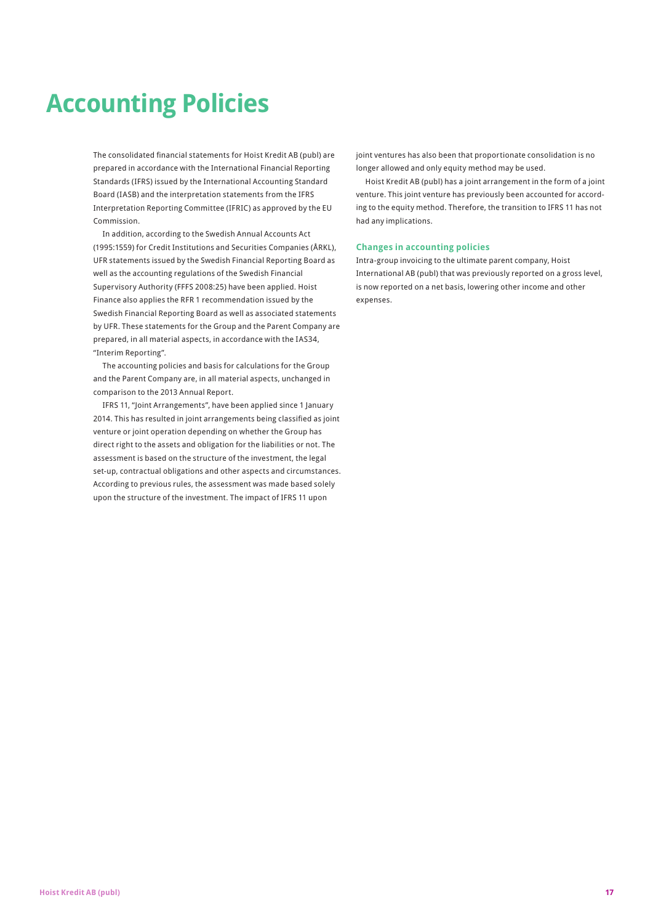# **Accounting Policies**

The consolidated financial statements for Hoist Kredit AB (publ) are prepared in accordance with the International Financial Reporting Standards (IFRS) issued by the International Accounting Standard Board (IASB) and the interpretation statements from the IFRS Interpretation Reporting Committee (IFRIC) as approved by the EU Commission.

In addition, according to the Swedish Annual Accounts Act (1995:1559) for Credit Institutions and Securities Companies (ÅRKL), UFR statements issued by the Swedish Financial Reporting Board as well as the accounting regulations of the Swedish Financial Supervisory Authority (FFFS 2008:25) have been applied. Hoist Finance also applies the RFR 1 recommendation issued by the Swedish Financial Reporting Board as well as associated statements by UFR. These statements for the Group and the Parent Company are prepared, in all material aspects, in accordance with the IAS34, "Interim Reporting".

The accounting policies and basis for calculations for the Group and the Parent Company are, in all material aspects, unchanged in comparison to the 2013 Annual Report.

IFRS 11, "Joint Arrangements", have been applied since 1 January 2014. This has resulted in joint arrangements being classified as joint venture or joint operation depending on whether the Group has direct right to the assets and obligation for the liabilities or not. The assessment is based on the structure of the investment, the legal set-up, contractual obligations and other aspects and circumstances. According to previous rules, the assessment was made based solely upon the structure of the investment. The impact of IFRS 11 upon

joint ventures has also been that proportionate consolidation is no longer allowed and only equity method may be used.

Hoist Kredit AB (publ) has a joint arrangement in the form of a joint venture. This joint venture has previously been accounted for according to the equity method. Therefore, the transition to IFRS 11 has not had any implications.

## **Changes in accounting policies**

Intra-group invoicing to the ultimate parent company, Hoist International AB (publ) that was previously reported on a gross level, is now reported on a net basis, lowering other income and other expenses.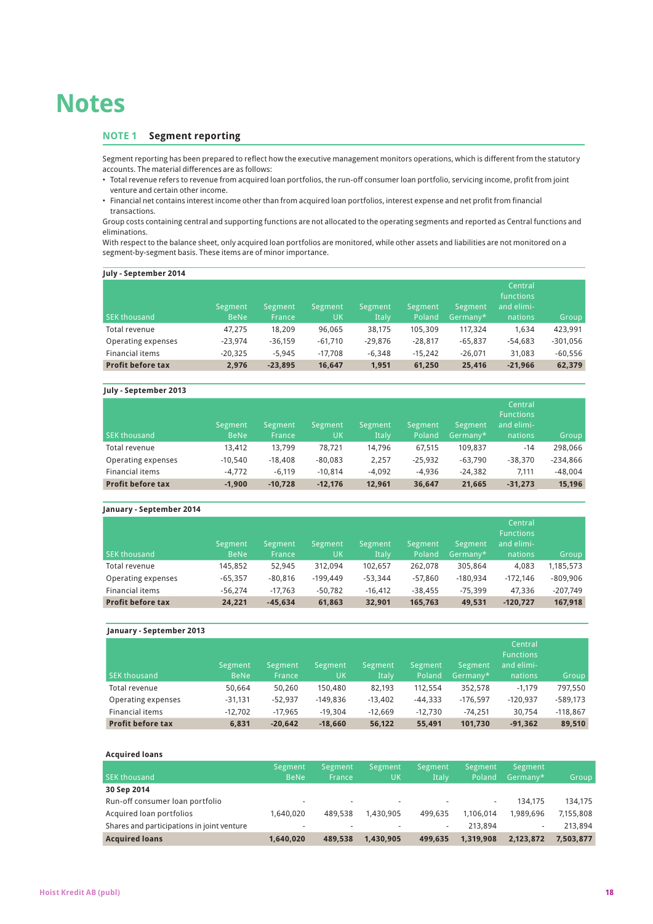# **Notes**

## **NotE 1 Segment reporting**

Segment reporting has been prepared to reflect how the executive management monitors operations, which is different from the statutory accounts. The material differences are as follows:

- Total revenue refers to revenue from acquired loan portfolios, the run-off consumer loan portfolio, servicing income, profit from joint venture and certain other income.
- Financial net contains interest income other than from acquired loan portfolios, interest expense and net profit from financial transactions.

Group costs containing central and supporting functions are not allocated to the operating segments and reported as Central functions and eliminations.

With respect to the balance sheet, only acquired loan portfolios are monitored, while other assets and liabilities are not monitored on a segment-by-segment basis. These items are of minor importance.

| July - September 2014    | Segment     | Segment   | Segment   | Segment   | Segment   | Segment   | Central<br>functions<br>and elimi- |            |
|--------------------------|-------------|-----------|-----------|-----------|-----------|-----------|------------------------------------|------------|
| <b>SEK thousand</b>      | <b>BeNe</b> | France    | UK        | Italy     | Poland    | Germany*  | nations                            | Group      |
| Total revenue            | 47.275      | 18,209    | 96,065    | 38,175    | 105,309   | 117.324   | 1.634                              | 423,991    |
| Operating expenses       | $-23.974$   | $-36,159$ | $-61.710$ | $-29.876$ | $-28.817$ | $-65.837$ | $-54.683$                          | $-301,056$ |
| Financial items          | $-20.325$   | $-5.945$  | $-17.708$ | $-6.348$  | $-15.242$ | $-26.071$ | 31.083                             | $-60,556$  |
| <b>Profit before tax</b> | 2.976       | $-23,895$ | 16,647    | 1,951     | 61,250    | 25,416    | $-21.966$                          | 62,379     |

## **July - September 2013**

| SEK thousand             | Segment<br><b>BeNe</b> | Segment<br>France | Segment<br>UK | Segment<br><b>Italy</b> | Segment<br>Poland | Segment<br>$Germany*$ | Central<br><b>Functions</b><br>and elimi-<br>nations | Group      |
|--------------------------|------------------------|-------------------|---------------|-------------------------|-------------------|-----------------------|------------------------------------------------------|------------|
| Total revenue            | 13,412                 | 13,799            | 78.721        | 14.796                  | 67.515            | 109.837               | $-14$                                                | 298,066    |
| Operating expenses       | $-10.540$              | $-18.408$         | $-80.083$     | 2,257                   | $-25.932$         | $-63.790$             | $-38.370$                                            | $-234,866$ |
| Financial items          | $-4.772$               | $-6.119$          | $-10.814$     | $-4.092$                | $-4.936$          | $-24.382$             | 7.111                                                | $-48.004$  |
| <b>Profit before tax</b> | $-1.900$               | $-10.728$         | $-12.176$     | 12.961                  | 36.647            | 21.665                | $-31.273$                                            | 15,196     |

## **January - September 2014**

| <b>SEK thousand</b>      | Segment<br><b>BeNe</b> | Segment<br><b>France</b> | Segment<br><b>UK</b> | Segment<br>Italy | Segment<br>Poland | Segment<br>'Germany*, | Central<br><b>Functions</b><br>and elimi-<br>nations | Group,     |
|--------------------------|------------------------|--------------------------|----------------------|------------------|-------------------|-----------------------|------------------------------------------------------|------------|
| Total revenue            | 145,852                | 52.945                   | 312.094              | 102,657          | 262.078           | 305,864               | 4.083                                                | 1,185,573  |
| Operating expenses       | $-65.357$              | $-80,816$                | $-199.449$           | $-53.344$        | $-57.860$         | $-180.934$            | $-172.146$                                           | $-809.906$ |
| Financial items          | $-56,274$              | $-17.763$                | $-50.782$            | $-16.412$        | $-38.455$         | $-75.399$             | 47.336                                               | $-207,749$ |
| <b>Profit before tax</b> | 24,221                 | $-45.634$                | 61,863               | 32,901           | 165,763           | 49.531                | $-120,727$                                           | 167,918    |

| January - September 2013 |                        |                   |               |                         |                   |                     |                                                      |            |
|--------------------------|------------------------|-------------------|---------------|-------------------------|-------------------|---------------------|------------------------------------------------------|------------|
| <b>SEK thousand</b>      | Segment<br><b>BeNe</b> | Segment<br>France | Segment<br>UK | Segment<br><b>Italy</b> | Segment<br>Poland | Segment<br>Germany* | Central<br><b>Functions</b><br>and elimi-<br>nations | Group      |
| Total revenue            | 50.664                 | 50.260            | 150,480       | 82.193                  | 112.554           | 352,578             | $-1.179$                                             | 797.550    |
| Operating expenses       | $-31,131$              | $-52.937$         | $-149.836$    | $-13.402$               | $-44.333$         | $-176.597$          | $-120.937$                                           | $-589,173$ |
| <b>Financial items</b>   | $-12.702$              | $-17.965$         | $-19.304$     | $-12.669$               | $-12.730$         | $-74.251$           | 30.754                                               | $-118,867$ |
| <b>Profit before tax</b> | 6.831                  | $-20.642$         | $-18.660$     | 56.122                  | 55.491            | 101.730             | $-91.362$                                            | 89,510     |

#### **Acquired loans**

|                                            | Segment     | Segment | Segment   | Segment | Segment   | Segment   |           |
|--------------------------------------------|-------------|---------|-----------|---------|-----------|-----------|-----------|
| <b>SEK thousand</b>                        | <b>BeNe</b> | France  | UK        | Italy   | Poland    | Germany*  | Group     |
| 30 Sep 2014                                |             |         |           |         |           |           |           |
| Run-off consumer loan portfolio            | ۰           |         | $\sim$    | $\sim$  | $\sim$    | 134.175   | 134.175   |
| Acquired loan portfolios                   | 1.640.020   | 489,538 | 1.430.905 | 499.635 | 1.106.014 | 1.989.696 | 7.155.808 |
| Shares and participations in joint venture | ۰           |         |           | $\sim$  | 213.894   | ۰.        | 213.894   |
| <b>Acquired loans</b>                      | 1.640.020   | 489.538 | 1.430.905 | 499.635 | 1.319.908 | 2,123,872 | 7.503.877 |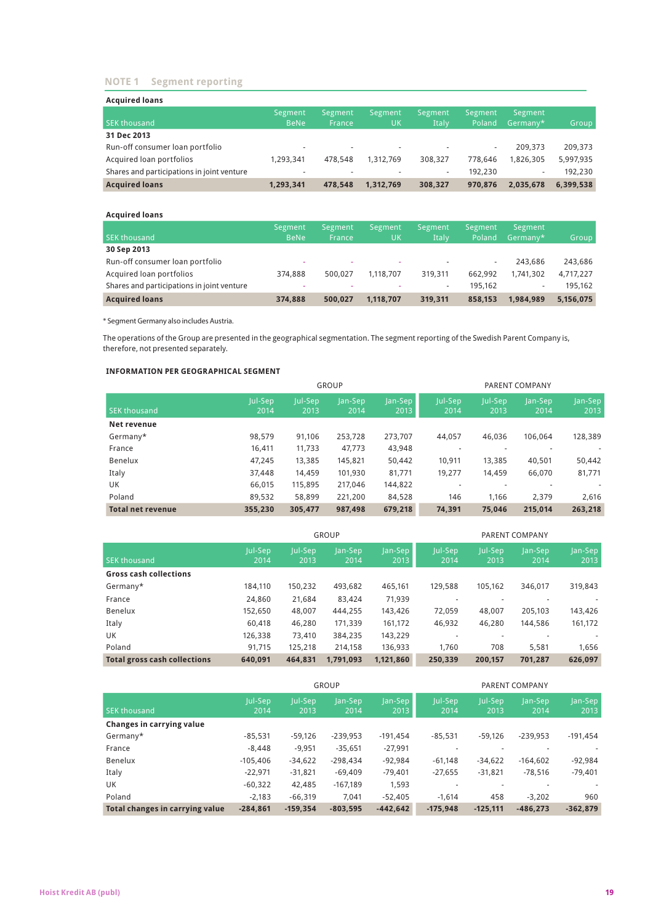## **NotE 1 Segment reporting**

| <b>Acquired loans</b>                      |             |         |           |         |         |           |           |
|--------------------------------------------|-------------|---------|-----------|---------|---------|-----------|-----------|
|                                            | Segment     | Segment | Segment   | Segment | Segment | Segment   |           |
| <b>SEK thousand</b>                        | <b>BeNe</b> | France  | UK        | Italy   | Poland  | Germany*  | Group     |
| 31 Dec 2013                                |             |         |           |         |         |           |           |
| Run-off consumer loan portfolio            | ۰           |         |           |         | ٠       | 209.373   | 209,373   |
| Acquired loan portfolios                   | 1.293.341   | 478.548 | 1.312.769 | 308.327 | 778.646 | 1.826.305 | 5,997,935 |
| Shares and participations in joint venture | $\sim$      |         |           | ٠       | 192,230 | $\sim$    | 192.230   |
| <b>Acquired loans</b>                      | 1,293,341   | 478.548 | 1.312.769 | 308,327 | 970.876 | 2.035.678 | 6,399,538 |

#### **Acquired loans**

|                                            | Segment     | Segment | Segment   | Segment | Segment | Segment                  |           |
|--------------------------------------------|-------------|---------|-----------|---------|---------|--------------------------|-----------|
| <b>SEK thousand</b>                        | <b>BeNe</b> | France  | UK        | Italy   | Poland  | 'Germany*                | Group     |
| 30 Sep 2013                                |             |         |           |         |         |                          |           |
| Run-off consumer loan portfolio            | ٠           |         |           |         | ٠       | 243.686                  | 243,686   |
| Acquired loan portfolios                   | 374,888     | 500.027 | 1.118.707 | 319.311 | 662.992 | 1.741.302                | 4,717,227 |
| Shares and participations in joint venture | ٠           |         |           | $\sim$  | 195.162 | $\overline{\phantom{a}}$ | 195.162   |
| <b>Acquired loans</b>                      | 374.888     | 500.027 | 1.118.707 | 319.311 | 858.153 | 1.984.989                | 5,156,075 |

\* Segment Germany also includes Austria.

The operations of the Group are presented in the geographical segmentation. The segment reporting of the Swedish Parent Company is, therefore, not presented separately.

## **INFORMATION PER GEOGRAPHICAL SEGMENT**

|                          |                 |                 | <b>GROUP</b>    |                    |                 |                          | PARENT COMPANY  |                 |
|--------------------------|-----------------|-----------------|-----------------|--------------------|-----------------|--------------------------|-----------------|-----------------|
| <b>SEK thousand</b>      | Jul-Sep<br>2014 | Jul-Sep<br>2013 | Jan-Sep<br>2014 | $ an-Sep $<br>2013 | Jul-Sep<br>2014 | Jul-Sep<br>2013          | Jan-Sep<br>2014 | Jan-Sep<br>2013 |
| Net revenue              |                 |                 |                 |                    |                 |                          |                 |                 |
| Germany*                 | 98,579          | 91,106          | 253,728         | 273,707            | 44,057          | 46,036                   | 106.064         | 128,389         |
| France                   | 16,411          | 11,733          | 47,773          | 43,948             |                 |                          |                 |                 |
| Benelux                  | 47,245          | 13,385          | 145,821         | 50,442             | 10,911          | 13,385                   | 40,501          | 50,442          |
| Italy                    | 37,448          | 14,459          | 101,930         | 81,771             | 19,277          | 14,459                   | 66,070          | 81,771          |
| UK                       | 66,015          | 115,895         | 217,046         | 144,822            |                 | $\overline{\phantom{a}}$ |                 |                 |
| Poland                   | 89,532          | 58,899          | 221,200         | 84,528             | 146             | 1.166                    | 2.379           | 2,616           |
| <b>Total net revenue</b> | 355.230         | 305.477         | 987.498         | 679.218            | 74.391          | 75.046                   | 215.014         | 263,218         |

|                                     |                 |                 | <b>GROUP</b>    |                 | PARENT COMPANY  |                 |                 |                 |
|-------------------------------------|-----------------|-----------------|-----------------|-----------------|-----------------|-----------------|-----------------|-----------------|
| <b>SEK thousand</b>                 | Jul-Sep<br>2014 | Jul-Sep<br>2013 | Jan-Sep<br>2014 | Jan-Sep<br>2013 | Jul-Sep<br>2014 | Jul-Sep<br>2013 | Jan-Sep<br>2014 | Jan-Sep<br>2013 |
| <b>Gross cash collections</b>       |                 |                 |                 |                 |                 |                 |                 |                 |
| Germany*                            | 184,110         | 150,232         | 493,682         | 465,161         | 129,588         | 105.162         | 346.017         | 319,843         |
| France                              | 24,860          | 21.684          | 83,424          | 71,939          |                 |                 |                 |                 |
| Benelux                             | 152,650         | 48,007          | 444,255         | 143,426         | 72.059          | 48,007          | 205.103         | 143,426         |
| Italy                               | 60,418          | 46,280          | 171,339         | 161.172         | 46,932          | 46,280          | 144.586         | 161,172         |
| UK                                  | 126,338         | 73,410          | 384,235         | 143,229         |                 |                 |                 |                 |
| Poland                              | 91.715          | 125.218         | 214.158         | 136,933         | 1.760           | 708             | 5.581           | 1,656           |
| <b>Total gross cash collections</b> | 640.091         | 464.831         | 1,791,093       | 1,121,860       | 250.339         | 200.157         | 701,287         | 626,097         |

|                                 |                 |                 | GROUP           |                 | PARENT COMPANY  |                 |                 |                 |  |
|---------------------------------|-----------------|-----------------|-----------------|-----------------|-----------------|-----------------|-----------------|-----------------|--|
| <b>SEK thousand</b>             | Jul-Sep<br>2014 | Jul-Sep<br>2013 | Jan-Sep<br>2014 | Jan-Sep<br>2013 | Jul-Sep<br>2014 | Jul-Sep<br>2013 | Jan-Sep<br>2014 | Jan-Sep<br>2013 |  |
| Changes in carrying value       |                 |                 |                 |                 |                 |                 |                 |                 |  |
| Germany*                        | $-85.531$       | $-59,126$       | $-239.953$      | $-191.454$      | $-85,531$       | $-59.126$       | $-239.953$      | $-191,454$      |  |
| France                          | $-8.448$        | $-9,951$        | $-35,651$       | $-27,991$       |                 |                 |                 |                 |  |
| Benelux                         | $-105.406$      | $-34,622$       | $-298,434$      | $-92,984$       | $-61.148$       | $-34,622$       | $-164.602$      | $-92,984$       |  |
| Italy                           | $-22.971$       | $-31.821$       | $-69,409$       | $-79.401$       | $-27,655$       | $-31,821$       | $-78,516$       | $-79.401$       |  |
| UK                              | $-60,322$       | 42.485          | $-167,189$      | 1,593           |                 |                 |                 |                 |  |
| Poland                          | $-2.183$        | $-66,319$       | 7.041           | $-52.405$       | $-1.614$        | 458             | $-3.202$        | 960             |  |
| Total changes in carrying value | $-284.861$      | $-159.354$      | $-803,595$      | $-442.642$      | $-175,948$      | $-125.111$      | $-486.273$      | $-362,879$      |  |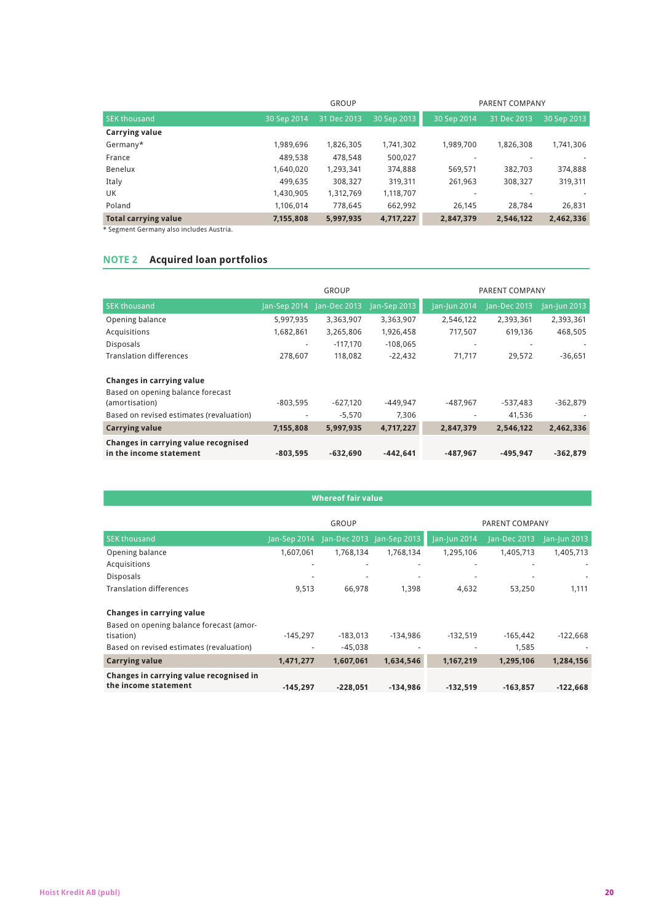|                             |             | GROUP       |             | PARENT COMPANY |             |             |  |
|-----------------------------|-------------|-------------|-------------|----------------|-------------|-------------|--|
| <b>SEK thousand</b>         | 30 Sep 2014 | 31 Dec 2013 | 30 Sep 2013 | 30 Sep 2014    | 31 Dec 2013 | 30 Sep 2013 |  |
| Carrying value              |             |             |             |                |             |             |  |
| Germany*                    | 1,989,696   | 1,826,305   | 1,741,302   | 1.989.700      | 1.826.308   | 1,741,306   |  |
| France                      | 489.538     | 478.548     | 500,027     |                |             |             |  |
| Benelux                     | 1,640,020   | 1,293,341   | 374,888     | 569,571        | 382,703     | 374,888     |  |
| Italy                       | 499,635     | 308,327     | 319,311     | 261,963        | 308,327     | 319,311     |  |
| UK                          | 1,430,905   | 1,312,769   | 1,118,707   |                |             |             |  |
| Poland                      | 1.106.014   | 778,645     | 662,992     | 26.145         | 28.784      | 26,831      |  |
| <b>Total carrying value</b> | 7,155,808   | 5,997,935   | 4,717,227   | 2,847,379      | 2,546,122   | 2,462,336   |  |

\* Segment Germany also includes Austria.

## **NotE 2 Acquired loan portfolios**

|                                                                 |              | <b>GROUP</b> |              | PARENT COMPANY |              |              |  |
|-----------------------------------------------------------------|--------------|--------------|--------------|----------------|--------------|--------------|--|
| <b>SEK thousand</b>                                             | Jan-Sep 2014 | Jan-Dec 2013 | Jan-Sep 2013 | Jan-Jun 2014   | Jan-Dec 2013 | Jan-Jun 2013 |  |
| Opening balance                                                 | 5,997,935    | 3,363,907    | 3,363,907    | 2.546.122      | 2.393.361    | 2,393,361    |  |
| Acquisitions                                                    | 1,682,861    | 3,265,806    | 1,926,458    | 717.507        | 619,136      | 468,505      |  |
| <b>Disposals</b>                                                | $\sim$       | $-117.170$   | $-108.065$   | ٠              |              |              |  |
| <b>Translation differences</b>                                  | 278.607      | 118,082      | $-22,432$    | 71,717         | 29,572       | $-36,651$    |  |
| Changes in carrying value<br>Based on opening balance forecast  |              |              |              |                |              |              |  |
| (amortisation)                                                  | $-803.595$   | $-627.120$   | $-449.947$   | -487.967       | -537.483     | $-362,879$   |  |
| Based on revised estimates (revaluation)                        | $\sim$       | $-5,570$     | 7,306        |                | 41,536       |              |  |
| <b>Carrying value</b>                                           | 7,155,808    | 5,997,935    | 4,717,227    | 2,847,379      | 2,546,122    | 2,462,336    |  |
| Changes in carrying value recognised<br>in the income statement | $-803.595$   | $-632.690$   | $-442.641$   | $-487.967$     | $-495.947$   | $-362,879$   |  |

## **Whereof fair value**

|                                          |              | <b>GROUP</b>             | PARENT COMPANY           |              |              |              |  |
|------------------------------------------|--------------|--------------------------|--------------------------|--------------|--------------|--------------|--|
| <b>SEK thousand</b>                      | Jan-Sep 2014 | Jan-Dec 2013             | Jan-Sep 2013             | Jan-Jun 2014 | Jan-Dec 2013 | Jan-Jun 2013 |  |
| Opening balance                          | 1,607,061    | 1.768.134                | 1.768.134                | 1,295,106    | 1,405,713    | 1,405,713    |  |
| Acquisitions                             |              | $\overline{\phantom{a}}$ | $\overline{\phantom{a}}$ | ۰            |              |              |  |
| <b>Disposals</b>                         |              |                          |                          |              |              |              |  |
| <b>Translation differences</b>           | 9,513        | 66.978                   | 1.398                    | 4,632        | 53,250       | 1,111        |  |
| Changes in carrying value                |              |                          |                          |              |              |              |  |
| Based on opening balance forecast (amor- |              |                          |                          |              |              |              |  |
| tisation)                                | $-145.297$   | $-183.013$               | $-134.986$               | $-132.519$   | $-165.442$   | $-122,668$   |  |
| Based on revised estimates (revaluation) | ۰            | $-45.038$                |                          |              | 1,585        |              |  |
| <b>Carrying value</b>                    | 1,471,277    | 1,607,061                | 1,634,546                | 1,167,219    | 1,295,106    | 1,284,156    |  |
| Changes in carrying value recognised in  |              |                          |                          |              |              |              |  |
| the income statement                     | $-145.297$   | $-228.051$               | $-134.986$               | $-132.519$   | $-163.857$   | $-122,668$   |  |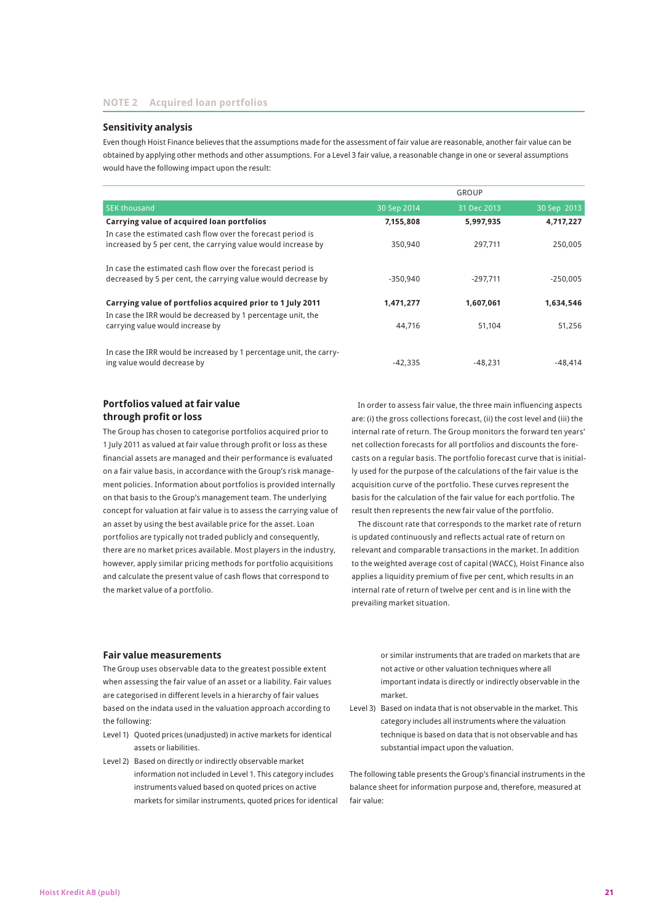## **Sensitivity analysis**

Even though Hoist Finance believes that the assumptions made for the assessment of fair value are reasonable, another fair value can be obtained by applying other methods and other assumptions. For a Level 3 fair value, a reasonable change in one or several assumptions would have the following impact upon the result:

|                                                                     |             | GROUP       |             |
|---------------------------------------------------------------------|-------------|-------------|-------------|
| <b>SEK thousand</b>                                                 | 30 Sep 2014 | 31 Dec 2013 | 30 Sep 2013 |
| Carrying value of acquired loan portfolios                          | 7,155,808   | 5,997,935   | 4,717,227   |
| In case the estimated cash flow over the forecast period is         |             |             |             |
| increased by 5 per cent, the carrying value would increase by       | 350.940     | 297.711     | 250.005     |
| In case the estimated cash flow over the forecast period is         |             |             |             |
| decreased by 5 per cent, the carrying value would decrease by       | $-350.940$  | $-297.711$  | $-250.005$  |
| Carrying value of portfolios acquired prior to 1 July 2011          | 1,471,277   | 1.607.061   | 1,634,546   |
| In case the IRR would be decreased by 1 percentage unit, the        |             |             |             |
| carrying value would increase by                                    | 44.716      | 51.104      | 51,256      |
| In case the IRR would be increased by 1 percentage unit, the carry- |             |             |             |
| ing value would decrease by                                         | $-42.335$   | -48.231     | $-48.414$   |

## **Portfolios valued at fair value through profit or loss**

The Group has chosen to categorise portfolios acquired prior to 1 July 2011 as valued at fair value through profit or loss as these financial assets are managed and their performance is evaluated on a fair value basis, in accordance with the Group's risk management policies. Information about portfolios is provided internally on that basis to the Group's management team. The underlying concept for valuation at fair value is to assess the carrying value of an asset by using the best available price for the asset. Loan portfolios are typically not traded publicly and consequently, there are no market prices available. Most players in the industry, however, apply similar pricing methods for portfolio acquisitions and calculate the present value of cash flows that correspond to the market value of a portfolio.

In order to assess fair value, the three main influencing aspects are: (i) the gross collections forecast, (ii) the cost level and (iii) the internal rate of return. The Group monitors the forward ten years' net collection forecasts for all portfolios and discounts the forecasts on a regular basis. The portfolio forecast curve that is initially used for the purpose of the calculations of the fair value is the acquisition curve of the portfolio. These curves represent the basis for the calculation of the fair value for each portfolio. The result then represents the new fair value of the portfolio.

The discount rate that corresponds to the market rate of return is updated continuously and reflects actual rate of return on relevant and comparable transactions in the market. In addition to the weighted average cost of capital (WACC), Hoist Finance also applies a liquidity premium of five per cent, which results in an internal rate of return of twelve per cent and is in line with the prevailing market situation.

#### **Fair value measurements**

The Group uses observable data to the greatest possible extent when assessing the fair value of an asset or a liability. Fair values are categorised in different levels in a hierarchy of fair values based on the indata used in the valuation approach according to the following:

- Level 1) Quoted prices (unadjusted) in active markets for identical assets or liabilities.
- Level 2) Based on directly or indirectly observable market information not included in Level 1. This category includes instruments valued based on quoted prices on active markets for similar instruments, quoted prices for identical

or similar instruments that are traded on markets that are not active or other valuation techniques where all important indata is directly or indirectly observable in the market.

Level 3) Based on indata that is not observable in the market. This category includes all instruments where the valuation technique is based on data that is not observable and has substantial impact upon the valuation.

The following table presents the Group's financial instruments in the balance sheet for information purpose and, therefore, measured at fair value: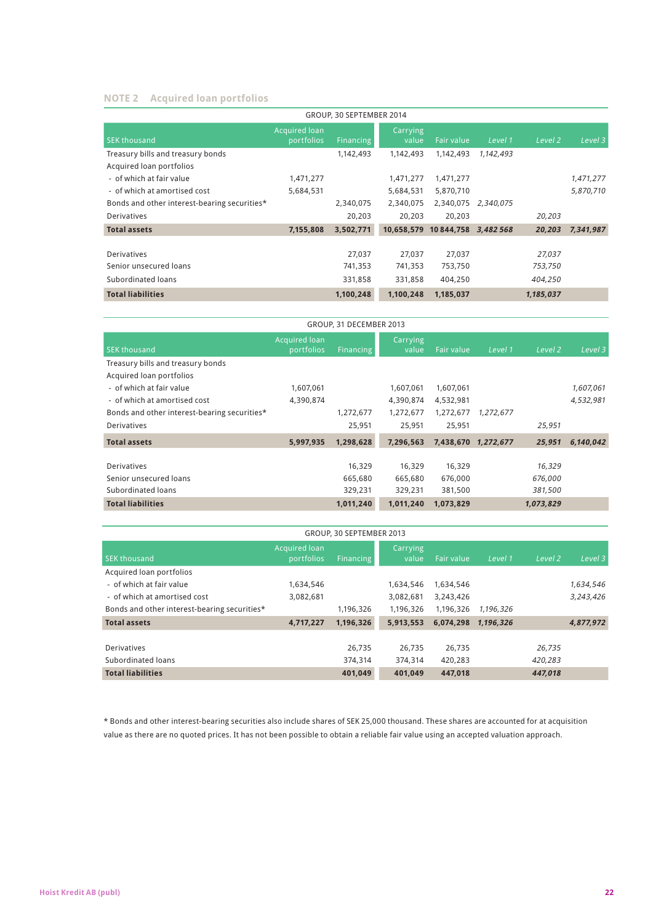## **NotE 2 Acquired loan portfolios**

| GROUP, 30 SEPTEMBER 2014                     |                                    |                  |                   |                      |           |                    |           |
|----------------------------------------------|------------------------------------|------------------|-------------------|----------------------|-----------|--------------------|-----------|
| <b>SEK thousand</b>                          | <b>Acquired loan</b><br>portfolios | <b>Financing</b> | Carrying<br>value | Fair value           | Level 1   | Level <sub>2</sub> | Level 3   |
| Treasury bills and treasury bonds            |                                    | 1,142,493        | 1,142,493         | 1,142,493            | 1,142,493 |                    |           |
| Acquired loan portfolios                     |                                    |                  |                   |                      |           |                    |           |
| - of which at fair value                     | 1,471,277                          |                  | 1,471,277         | 1,471,277            |           |                    | 1,471,277 |
| - of which at amortised cost                 | 5,684,531                          |                  | 5,684,531         | 5,870,710            |           |                    | 5,870,710 |
| Bonds and other interest-bearing securities* |                                    | 2,340,075        | 2,340,075         | 2,340,075            | 2,340,075 |                    |           |
| Derivatives                                  |                                    | 20,203           | 20.203            | 20,203               |           | 20,203             |           |
| <b>Total assets</b>                          | 7,155,808                          | 3,502,771        | 10.658.579        | 10 844.758 3.482 568 |           | 20.203             | 7,341,987 |
|                                              |                                    |                  |                   |                      |           |                    |           |
| Derivatives                                  |                                    | 27,037           | 27,037            | 27,037               |           | 27,037             |           |
| Senior unsecured loans                       |                                    | 741,353          | 741,353           | 753,750              |           | 753,750            |           |
| Subordinated loans                           |                                    | 331,858          | 331,858           | 404,250              |           | 404,250            |           |
| <b>Total liabilities</b>                     |                                    | 1,100,248        | 1,100,248         | 1,185,037            |           | 1,185,037          |           |

| GROUP, 31 DECEMBER 2013                      |                                    |                  |                   |            |                     |                    |           |
|----------------------------------------------|------------------------------------|------------------|-------------------|------------|---------------------|--------------------|-----------|
| <b>SEK thousand</b>                          | <b>Acquired loan</b><br>portfolios | <b>Financing</b> | Carrying<br>value | Fair value | Level 1             | Level <sub>2</sub> | Level 3   |
| Treasury bills and treasury bonds            |                                    |                  |                   |            |                     |                    |           |
| Acquired loan portfolios                     |                                    |                  |                   |            |                     |                    |           |
| - of which at fair value                     | 1,607,061                          |                  | 1,607,061         | 1,607,061  |                     |                    | 1,607,061 |
| - of which at amortised cost                 | 4,390,874                          |                  | 4,390,874         | 4,532,981  |                     |                    | 4,532,981 |
| Bonds and other interest-bearing securities* |                                    | 1,272,677        | 1,272,677         | 1,272,677  | 1,272,677           |                    |           |
| <b>Derivatives</b>                           |                                    | 25.951           | 25.951            | 25,951     |                     | 25,951             |           |
| <b>Total assets</b>                          | 5,997,935                          | 1,298,628        | 7,296,563         |            | 7,438,670 1,272,677 | 25,951             | 6,140,042 |
|                                              |                                    |                  |                   |            |                     |                    |           |
| <b>Derivatives</b>                           |                                    | 16,329           | 16,329            | 16,329     |                     | 16,329             |           |
| Senior unsecured loans                       |                                    | 665,680          | 665,680           | 676,000    |                     | 676,000            |           |
| Subordinated loans                           |                                    | 329,231          | 329,231           | 381,500    |                     | 381,500            |           |
| <b>Total liabilities</b>                     |                                    | 1,011,240        | 1,011,240         | 1,073,829  |                     | 1,073,829          |           |

| GROUP, 30 SEPTEMBER 2013                     |                                    |           |                   |            |           |         |           |
|----------------------------------------------|------------------------------------|-----------|-------------------|------------|-----------|---------|-----------|
| <b>SEK thousand</b>                          | <b>Acquired loan</b><br>portfolios | Financing | Carrying<br>value | Fair value | Level 1   | Level 2 | Level 3   |
| Acquired loan portfolios                     |                                    |           |                   |            |           |         |           |
| - of which at fair value                     | 1,634,546                          |           | 1,634,546         | 1,634,546  |           |         | 1,634,546 |
| - of which at amortised cost                 | 3,082,681                          |           | 3,082,681         | 3,243,426  |           |         | 3,243,426 |
| Bonds and other interest-bearing securities* |                                    | 1,196,326 | 1,196,326         | 1,196,326  | 1,196,326 |         |           |
| <b>Total assets</b>                          | 4,717,227                          | 1,196,326 | 5.913.553         | 6.074.298  | 1.196.326 |         | 4,877,972 |
|                                              |                                    |           |                   |            |           |         |           |
| <b>Derivatives</b>                           |                                    | 26.735    | 26.735            | 26.735     |           | 26,735  |           |
| Subordinated loans                           |                                    | 374,314   | 374,314           | 420.283    |           | 420,283 |           |
| <b>Total liabilities</b>                     |                                    | 401.049   | 401.049           | 447.018    |           | 447.018 |           |

\* Bonds and other interest-bearing securities also include shares of SEK 25,000 thousand. These shares are accounted for at acquisition value as there are no quoted prices. It has not been possible to obtain a reliable fair value using an accepted valuation approach.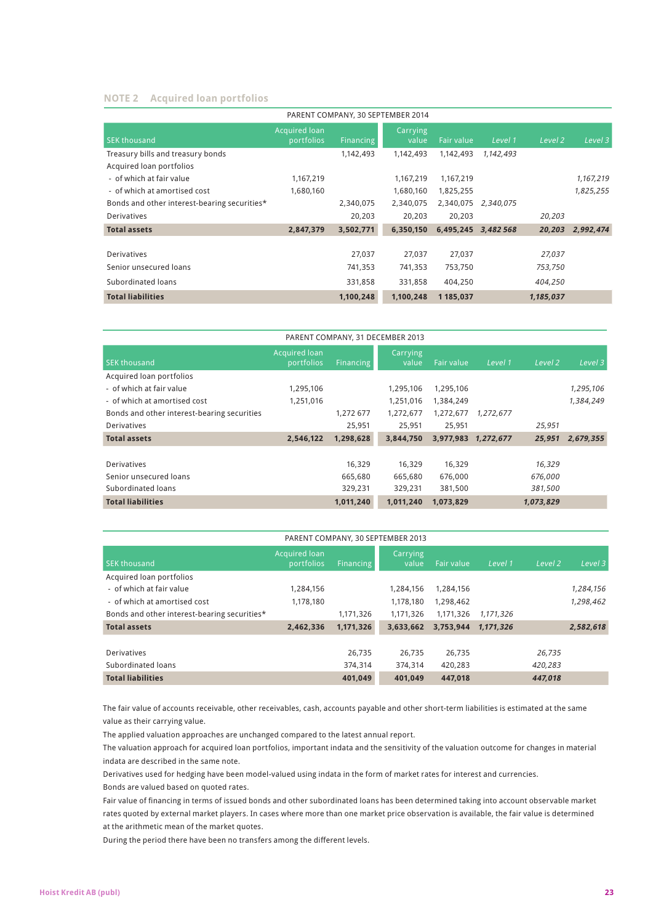## **NotE 2 Acquired loan portfolios**

| PARENT COMPANY, 30 SEPTEMBER 2014            |                                    |           |                   |                   |           |           |           |
|----------------------------------------------|------------------------------------|-----------|-------------------|-------------------|-----------|-----------|-----------|
| <b>SEK thousand</b>                          | <b>Acquired loan</b><br>portfolios | Financing | Carrying<br>value | <b>Fair value</b> | Level 1   | Level 2   | Level 3   |
| Treasury bills and treasury bonds            |                                    | 1,142,493 | 1,142,493         | 1,142,493         | 1,142,493 |           |           |
| Acquired loan portfolios                     |                                    |           |                   |                   |           |           |           |
| - of which at fair value                     | 1,167,219                          |           | 1,167,219         | 1,167,219         |           |           | 1,167,219 |
| - of which at amortised cost                 | 1,680,160                          |           | 1,680,160         | 1,825,255         |           |           | 1,825,255 |
| Bonds and other interest-bearing securities* |                                    | 2,340,075 | 2,340,075         | 2,340,075         | 2,340,075 |           |           |
| <b>Derivatives</b>                           |                                    | 20,203    | 20.203            | 20,203            |           | 20,203    |           |
| <b>Total assets</b>                          | 2,847,379                          | 3,502,771 | 6,350,150         | 6,495,245         | 3.482568  | 20,203    | 2,992,474 |
|                                              |                                    |           |                   |                   |           |           |           |
| Derivatives                                  |                                    | 27,037    | 27.037            | 27,037            |           | 27,037    |           |
| Senior unsecured loans                       |                                    | 741,353   | 741,353           | 753,750           |           | 753,750   |           |
| Subordinated loans                           |                                    | 331,858   | 331,858           | 404.250           |           | 404,250   |           |
| <b>Total liabilities</b>                     |                                    | 1,100,248 | 1,100,248         | 1 185.037         |           | 1,185,037 |           |

| PARENT COMPANY, 31 DECEMBER 2013            |                                    |           |                   |            |           |           |           |
|---------------------------------------------|------------------------------------|-----------|-------------------|------------|-----------|-----------|-----------|
| <b>SEK thousand</b>                         | <b>Acquired loan</b><br>portfolios | Financing | Carrying<br>value | Fair value | Level 1   | Level 2   | Level 3   |
| Acquired loan portfolios                    |                                    |           |                   |            |           |           |           |
| - of which at fair value                    | 1,295,106                          |           | 1,295,106         | 1,295,106  |           |           | 1,295,106 |
| - of which at amortised cost                | 1,251,016                          |           | 1,251,016         | 1,384,249  |           |           | 1,384,249 |
| Bonds and other interest-bearing securities |                                    | 1.272 677 | 1,272,677         | 1,272,677  | 1,272,677 |           |           |
| <b>Derivatives</b>                          |                                    | 25,951    | 25,951            | 25,951     |           | 25,951    |           |
| <b>Total assets</b>                         | 2,546,122                          | 1,298,628 | 3,844,750         | 3,977,983  | 1.272.677 | 25.951    | 2,679,355 |
|                                             |                                    |           |                   |            |           |           |           |
| Derivatives                                 |                                    | 16.329    | 16,329            | 16,329     |           | 16,329    |           |
| Senior unsecured loans                      |                                    | 665,680   | 665,680           | 676,000    |           | 676,000   |           |
| Subordinated loans                          |                                    | 329,231   | 329,231           | 381,500    |           | 381,500   |           |
| <b>Total liabilities</b>                    |                                    | 1,011,240 | 1,011,240         | 1,073,829  |           | 1,073,829 |           |

| PARENT COMPANY, 30 SEPTEMBER 2013            |                                    |                  |                   |            |           |                    |           |
|----------------------------------------------|------------------------------------|------------------|-------------------|------------|-----------|--------------------|-----------|
| <b>SEK thousand</b>                          | <b>Acquired loan</b><br>portfolios | <b>Financing</b> | Carrying<br>value | Fair value | Level 1   | Level <sub>2</sub> | Level 3   |
| Acquired loan portfolios                     |                                    |                  |                   |            |           |                    |           |
| - of which at fair value                     | 1.284.156                          |                  | 1.284.156         | 1.284.156  |           |                    | 1,284,156 |
| - of which at amortised cost                 | 1.178.180                          |                  | 1.178.180         | 1,298,462  |           |                    | 1,298,462 |
| Bonds and other interest-bearing securities* |                                    | 1,171,326        | 1.171.326         | 1.171.326  | 1.171.326 |                    |           |
| <b>Total assets</b>                          | 2,462,336                          | 1,171,326        | 3,633,662         | 3,753,944  | 1.171.326 |                    | 2,582,618 |
|                                              |                                    |                  |                   |            |           |                    |           |
| <b>Derivatives</b>                           |                                    | 26.735           | 26.735            | 26.735     |           | 26.735             |           |
| Subordinated loans                           |                                    | 374.314          | 374.314           | 420.283    |           | 420,283            |           |
| <b>Total liabilities</b>                     |                                    | 401.049          | 401.049           | 447.018    |           | 447.018            |           |

The fair value of accounts receivable, other receivables, cash, accounts payable and other short-term liabilities is estimated at the same value as their carrying value.

The applied valuation approaches are unchanged compared to the latest annual report.

The valuation approach for acquired loan portfolios, important indata and the sensitivity of the valuation outcome for changes in material indata are described in the same note.

Derivatives used for hedging have been model-valued using indata in the form of market rates for interest and currencies. Bonds are valued based on quoted rates.

Fair value of financing in terms of issued bonds and other subordinated loans has been determined taking into account observable market rates quoted by external market players. In cases where more than one market price observation is available, the fair value is determined at the arithmetic mean of the market quotes.

During the period there have been no transfers among the different levels.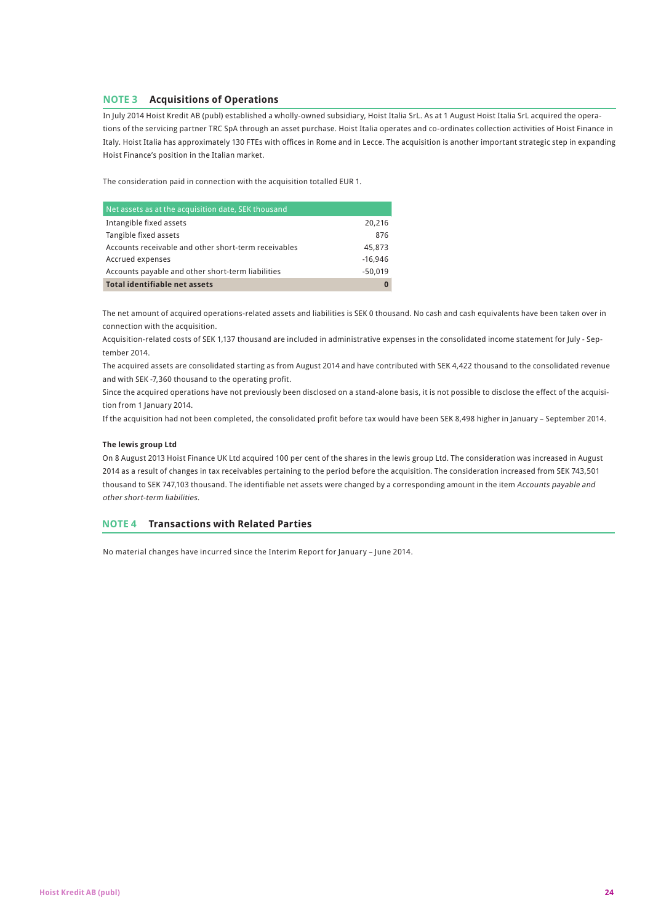## **NOTE 3 Acquisitions of Operations**

In July 2014 Hoist Kredit AB (publ) established a wholly-owned subsidiary, Hoist Italia SrL. As at 1 August Hoist Italia SrL acquired the operations of the servicing partner TRC SpA through an asset purchase. Hoist Italia operates and co-ordinates collection activities of Hoist Finance in Italy. Hoist Italia has approximately 130 FTEs with offices in Rome and in Lecce. The acquisition is another important strategic step in expanding Hoist Finance's position in the Italian market.

The consideration paid in connection with the acquisition totalled EUR 1.

| Net assets as at the acquisition date, SEK thousand  |           |
|------------------------------------------------------|-----------|
| Intangible fixed assets                              | 20,216    |
| Tangible fixed assets                                | 876       |
| Accounts receivable and other short-term receivables | 45,873    |
| Accrued expenses                                     | $-16.946$ |
| Accounts payable and other short-term liabilities    | $-50.019$ |
| <b>Total identifiable net assets</b>                 |           |

The net amount of acquired operations-related assets and liabilities is SEK 0 thousand. No cash and cash equivalents have been taken over in connection with the acquisition.

Acquisition-related costs of SEK 1,137 thousand are included in administrative expenses in the consolidated income statement for July - September 2014.

The acquired assets are consolidated starting as from August 2014 and have contributed with SEK 4,422 thousand to the consolidated revenue and with SEK -7,360 thousand to the operating profit.

Since the acquired operations have not previously been disclosed on a stand-alone basis, it is not possible to disclose the effect of the acquisition from 1 January 2014.

If the acquisition had not been completed, the consolidated profit before tax would have been SEK 8,498 higher in January – September 2014.

## **The lewis group Ltd**

On 8 August 2013 Hoist Finance UK Ltd acquired 100 per cent of the shares in the lewis group Ltd. The consideration was increased in August 2014 as a result of changes in tax receivables pertaining to the period before the acquisition. The consideration increased from SEK 743,501 thousand to SEK 747,103 thousand. The identifiable net assets were changed by a corresponding amount in the item Accounts payable and other short-term liabilities.

## **Note 4 Transactions with Related Parties**

No material changes have incurred since the Interim Report for January – June 2014.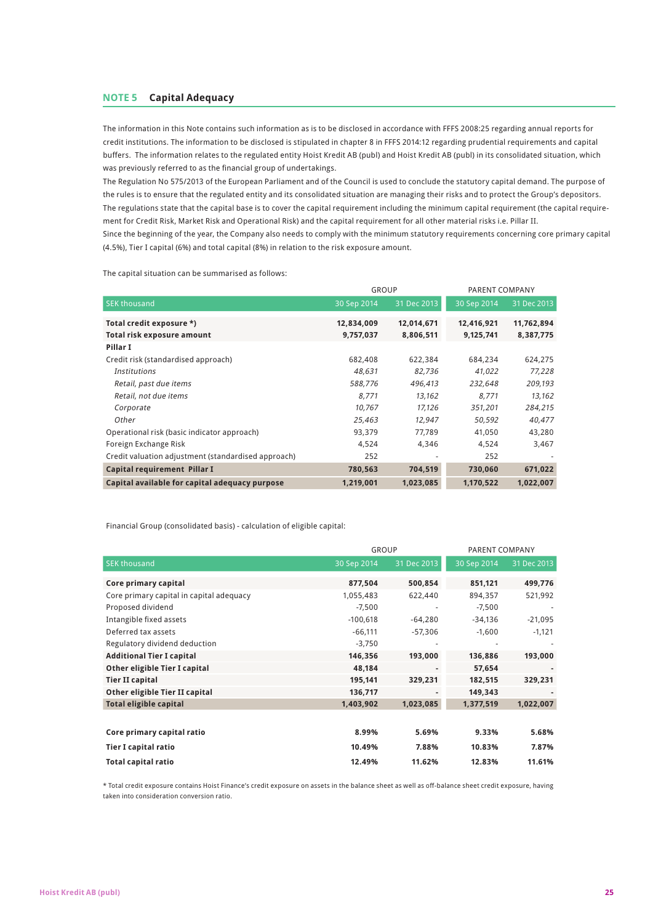The information in this Note contains such information as is to be disclosed in accordance with FFFS 2008:25 regarding annual reports for credit institutions. The information to be disclosed is stipulated in chapter 8 in FFFS 2014:12 regarding prudential requirements and capital buffers. The information relates to the regulated entity Hoist Kredit AB (publ) and Hoist Kredit AB (publ) in its consolidated situation, which was previously referred to as the financial group of undertakings.

The Regulation No 575/2013 of the European Parliament and of the Council is used to conclude the statutory capital demand. The purpose of the rules is to ensure that the regulated entity and its consolidated situation are managing their risks and to protect the Group's depositors. The regulations state that the capital base is to cover the capital requirement including the minimum capital requirement (the capital requirement for Credit Risk, Market Risk and Operational Risk) and the capital requirement for all other material risks i.e. Pillar II. Since the beginning of the year, the Company also needs to comply with the minimum statutory requirements concerning core primary capital (4.5%), Tier I capital (6%) and total capital (8%) in relation to the risk exposure amount.

The capital situation can be summarised as follows:

|                                                     | <b>GROUP</b> |             | PARENT COMPANY |             |  |
|-----------------------------------------------------|--------------|-------------|----------------|-------------|--|
| <b>SEK thousand</b>                                 | 30 Sep 2014  | 31 Dec 2013 | 30 Sep 2014    | 31 Dec 2013 |  |
| Total credit exposure *)                            | 12,834,009   | 12,014,671  | 12,416,921     | 11,762,894  |  |
| Total risk exposure amount                          | 9,757,037    | 8,806,511   | 9,125,741      | 8,387,775   |  |
| Pillar I                                            |              |             |                |             |  |
| Credit risk (standardised approach)                 | 682,408      | 622,384     | 684.234        | 624,275     |  |
| <b>Institutions</b>                                 | 48,631       | 82,736      | 41,022         | 77,228      |  |
| Retail, past due items                              | 588,776      | 496,413     | 232,648        | 209,193     |  |
| Retail, not due items                               | 8.771        | 13,162      | 8.771          | 13,162      |  |
| Corporate                                           | 10,767       | 17,126      | 351,201        | 284,215     |  |
| Other                                               | 25,463       | 12,947      | 50,592         | 40,477      |  |
| Operational risk (basic indicator approach)         | 93,379       | 77,789      | 41,050         | 43,280      |  |
| Foreign Exchange Risk                               | 4,524        | 4,346       | 4,524          | 3,467       |  |
| Credit valuation adjustment (standardised approach) | 252          |             | 252            |             |  |
| Capital requirement Pillar I                        | 780,563      | 704,519     | 730,060        | 671,022     |  |
| Capital available for capital adequacy purpose      | 1,219,001    | 1,023,085   | 1,170,522      | 1,022,007   |  |

Financial Group (consolidated basis) - calculation of eligible capital:

|                                          |             | <b>GROUP</b> |             | PARENT COMPANY |  |
|------------------------------------------|-------------|--------------|-------------|----------------|--|
| <b>SEK thousand</b>                      | 30 Sep 2014 | 31 Dec 2013  | 30 Sep 2014 | 31 Dec 2013    |  |
| Core primary capital                     | 877,504     | 500,854      | 851,121     | 499,776        |  |
| Core primary capital in capital adequacy | 1,055,483   | 622,440      | 894,357     | 521,992        |  |
| Proposed dividend                        | $-7,500$    |              | $-7,500$    |                |  |
| Intangible fixed assets                  | $-100,618$  | $-64,280$    | $-34,136$   | $-21,095$      |  |
| Deferred tax assets                      | $-66,111$   | $-57,306$    | $-1,600$    | $-1,121$       |  |
| Regulatory dividend deduction            | $-3,750$    |              |             |                |  |
| <b>Additional Tier I capital</b>         | 146,356     | 193,000      | 136,886     | 193,000        |  |
| Other eligible Tier I capital            | 48,184      |              | 57,654      |                |  |
| <b>Tier II capital</b>                   | 195,141     | 329,231      | 182,515     | 329,231        |  |
| Other eligible Tier II capital           | 136,717     |              | 149,343     |                |  |
| <b>Total eligible capital</b>            | 1,403,902   | 1,023,085    | 1,377,519   | 1,022,007      |  |
|                                          |             |              |             |                |  |
| Core primary capital ratio               | 8.99%       | 5.69%        | 9.33%       | 5.68%          |  |
| <b>Tier I capital ratio</b>              | 10.49%      | 7.88%        | 10.83%      | 7.87%          |  |
| <b>Total capital ratio</b>               | 12.49%      | 11.62%       | 12.83%      | 11.61%         |  |

\* Total credit exposure contains Hoist Finance's credit exposure on assets in the balance sheet as well as off-balance sheet credit exposure, having taken into consideration conversion ratio.